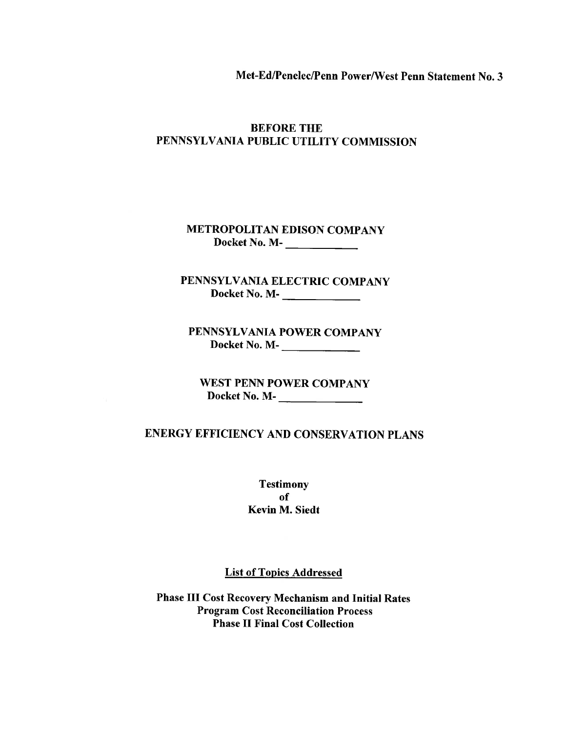Met-Ed/Penelec/Penn Power/West Penn Statement No. 3

## **BEFORE THE** PENNSYLVANIA PUBLIC UTILITY COMMISSION

**METROPOLITAN EDISON COMPANY** 

PENNSYLVANIA ELECTRIC COMPANY Docket No. M-

PENNSYLVANIA POWER COMPANY Docket No. M-

**WEST PENN POWER COMPANY** 

# **ENERGY EFFICIENCY AND CONSERVATION PLANS**

**Testimony** of Kevin M. Siedt

**List of Topics Addressed** 

**Phase III Cost Recovery Mechanism and Initial Rates Program Cost Reconciliation Process Phase II Final Cost Collection**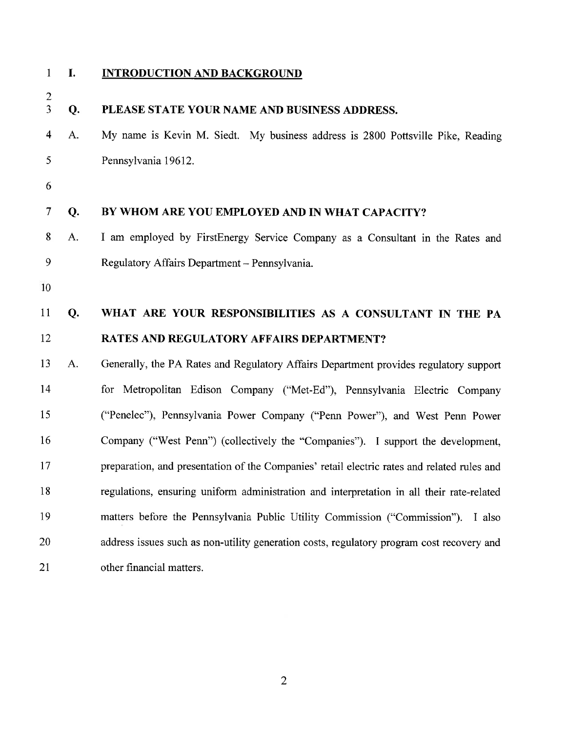$\Delta$ 

 $\mathbf{1}$ 

L.

# **INTRODUCTION AND BACKGROUND**

| $\frac{2}{3}$            | Q. | PLEASE STATE YOUR NAME AND BUSINESS ADDRESS.                                                |
|--------------------------|----|---------------------------------------------------------------------------------------------|
| $\overline{\mathbf{4}}$  | A. | My name is Kevin M. Siedt. My business address is 2800 Pottsville Pike, Reading             |
| 5                        |    | Pennsylvania 19612.                                                                         |
| 6                        |    |                                                                                             |
| $\overline{\mathcal{L}}$ | Q. | BY WHOM ARE YOU EMPLOYED AND IN WHAT CAPACITY?                                              |
| 8                        | A. | I am employed by FirstEnergy Service Company as a Consultant in the Rates and               |
| 9                        |    | Regulatory Affairs Department - Pennsylvania.                                               |
| 10                       |    |                                                                                             |
| 11                       | Q. | WHAT ARE YOUR RESPONSIBILITIES AS A CONSULTANT IN THE PA                                    |
| 12                       |    | <b>RATES AND REGULATORY AFFAIRS DEPARTMENT?</b>                                             |
| 13                       | A. | Generally, the PA Rates and Regulatory Affairs Department provides regulatory support       |
| 14                       |    | for Metropolitan Edison Company ("Met-Ed"), Pennsylvania Electric Company                   |
| 15                       |    | ("Penelec"), Pennsylvania Power Company ("Penn Power"), and West Penn Power                 |
| 16                       |    | Company ("West Penn") (collectively the "Companies"). I support the development,            |
| 17                       |    | preparation, and presentation of the Companies' retail electric rates and related rules and |
| 18                       |    | regulations, ensuring uniform administration and interpretation in all their rate-related   |
| 19                       |    | matters before the Pennsylvania Public Utility Commission ("Commission"). I also            |
| 20                       |    | address issues such as non-utility generation costs, regulatory program cost recovery and   |
| 21                       |    | other financial matters.                                                                    |

 $\overline{2}$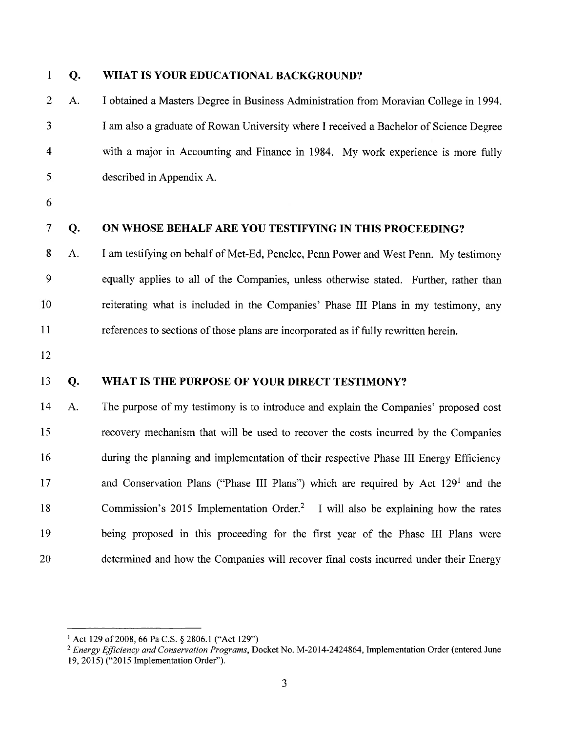| $\mathbf{1}$            | Q. | WHAT IS YOUR EDUCATIONAL BACKGROUND?                                                          |
|-------------------------|----|-----------------------------------------------------------------------------------------------|
| $\overline{2}$          | A. | I obtained a Masters Degree in Business Administration from Moravian College in 1994.         |
| 3                       |    | I am also a graduate of Rowan University where I received a Bachelor of Science Degree        |
| $\overline{\mathbf{4}}$ |    | with a major in Accounting and Finance in 1984. My work experience is more fully              |
| 5                       |    | described in Appendix A.                                                                      |
| 6                       |    |                                                                                               |
| $\tau$                  | Q. | ON WHOSE BEHALF ARE YOU TESTIFYING IN THIS PROCEEDING?                                        |
| 8                       | A. | I am testifying on behalf of Met-Ed, Penelec, Penn Power and West Penn. My testimony          |
| 9                       |    | equally applies to all of the Companies, unless otherwise stated. Further, rather than        |
| 10                      |    | reiterating what is included in the Companies' Phase III Plans in my testimony, any           |
| 11                      |    | references to sections of those plans are incorporated as if fully rewritten herein.          |
| 12                      |    |                                                                                               |
| 13                      | Q. | WHAT IS THE PURPOSE OF YOUR DIRECT TESTIMONY?                                                 |
| 14                      | A. | The purpose of my testimony is to introduce and explain the Companies' proposed cost          |
| 15                      |    | recovery mechanism that will be used to recover the costs incurred by the Companies           |
| 16                      |    | during the planning and implementation of their respective Phase III Energy Efficiency        |
| 17                      |    | and Conservation Plans ("Phase III Plans") which are required by Act 129 <sup>1</sup> and the |
| 18                      |    | Commission's 2015 Implementation Order. <sup>2</sup> I will also be explaining how the rates  |
| 19                      |    | being proposed in this proceeding for the first year of the Phase III Plans were              |
| 20                      |    | determined and how the Companies will recover final costs incurred under their Energy         |

<sup>&</sup>lt;sup>1</sup> Act 129 of 2008, 66 Pa C.S. § 2806.1 ("Act 129")<br><sup>2</sup> Energy Efficiency and Conservation Programs, Docket No. M-2014-2424864, Implementation Order (entered June 19, 2015) ("2015 Implementation Order").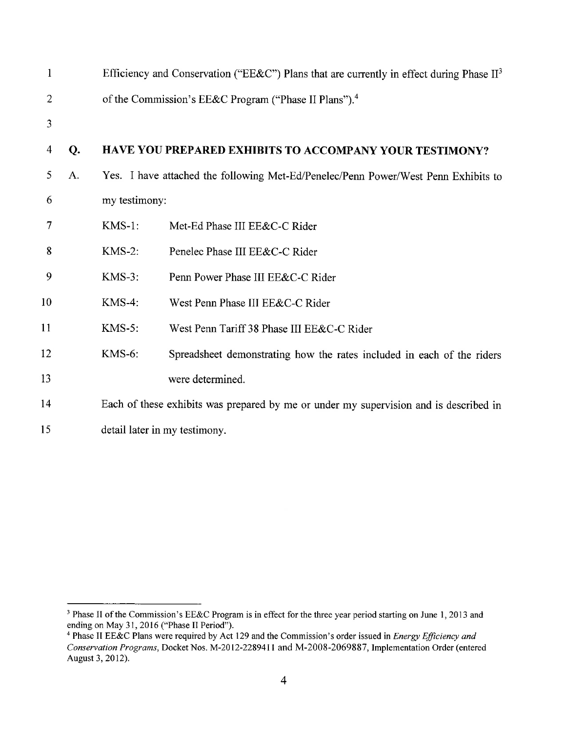| $\mathbf{1}$   |    |               | Efficiency and Conservation ("EE&C") Plans that are currently in effect during Phase $II3$ |
|----------------|----|---------------|--------------------------------------------------------------------------------------------|
| $\overline{2}$ |    |               | of the Commission's EE&C Program ("Phase II Plans"). <sup>4</sup>                          |
| 3              |    |               |                                                                                            |
| 4              | Q. |               | HAVE YOU PREPARED EXHIBITS TO ACCOMPANY YOUR TESTIMONY?                                    |
| 5              | A. |               | Yes. I have attached the following Met-Ed/Penelec/Penn Power/West Penn Exhibits to         |
| 6              |    | my testimony: |                                                                                            |
| $\overline{7}$ |    | $KMS-1$ :     | Met-Ed Phase III EE&C-C Rider                                                              |
| 8              |    | $KMS-2$ :     | Penelec Phase III EE&C-C Rider                                                             |
| 9              |    | $KMS-3$ :     | Penn Power Phase III EE&C-C Rider                                                          |
| 10             |    | $KMS-4$ :     | West Penn Phase III EE&C-C Rider                                                           |
| 11             |    | $KMS-5$ :     | West Penn Tariff 38 Phase III EE&C-C Rider                                                 |
| 12             |    | <b>KMS-6:</b> | Spreadsheet demonstrating how the rates included in each of the riders                     |
| 13             |    |               | were determined.                                                                           |
| 14             |    |               | Each of these exhibits was prepared by me or under my supervision and is described in      |
| 15             |    |               | detail later in my testimony.                                                              |

<sup>&</sup>lt;sup>3</sup> Phase II of the Commission's EE&C Program is in effect for the three year period starting on June 1, 2013 and ending on May 31, 2016 ("Phase II Period").

<sup>&</sup>lt;sup>4</sup> Phase II EE&C Plans were required by Act 129 and the Commission's order issued in *Energy Efficiency and* Conservation Programs, Docket Nos. M-2012-2289411 and M-2008-2069887, Implementation Order (entered August 3, 2012).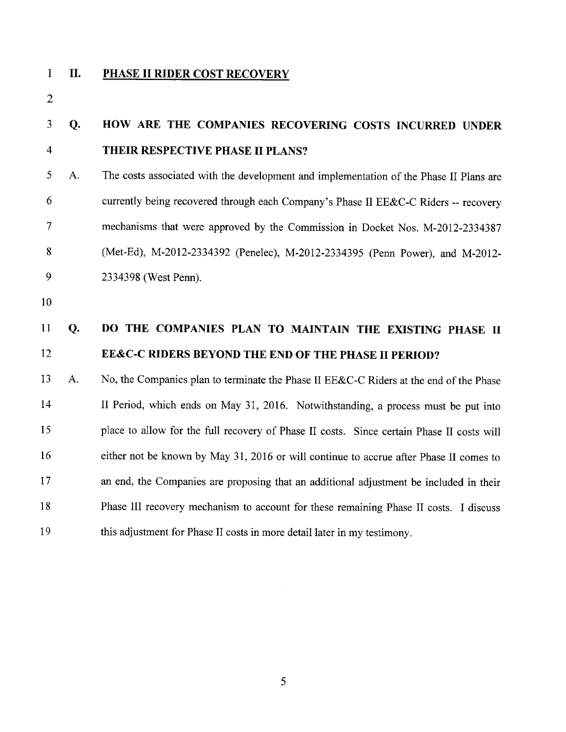$\mathbf{1}$ 

#### II. PHASE II RIDER COST RECOVERY

 $\overline{2}$ 

#### $\overline{\mathbf{3}}$  $Q<sub>r</sub>$ HOW ARE THE COMPANIES RECOVERING COSTS INCURRED UNDER  $\overline{4}$ THEIR RESPECTIVE PHASE II PLANS?

- 5 A. The costs associated with the development and implementation of the Phase II Plans are 6 currently being recovered through each Company's Phase II EE&C-C Riders -- recovery  $\overline{7}$ mechanisms that were approved by the Commission in Docket Nos. M-2012-2334387 (Met-Ed), M-2012-2334392 (Penelec), M-2012-2334395 (Penn Power), and M-2012-8 9 2334398 (West Penn).
- 10

#### $11$ DO THE COMPANIES PLAN TO MAINTAIN THE EXISTING PHASE II **O.** 12 EE&C-C RIDERS BEYOND THE END OF THE PHASE II PERIOD?

13 No, the Companies plan to terminate the Phase II EE&C-C Riders at the end of the Phase A. 14 II Period, which ends on May 31, 2016. Notwithstanding, a process must be put into 15 place to allow for the full recovery of Phase II costs. Since certain Phase II costs will 16 either not be known by May 31, 2016 or will continue to accrue after Phase II comes to 17 an end, the Companies are proposing that an additional adjustment be included in their 18 Phase III recovery mechanism to account for these remaining Phase II costs. I discuss 19 this adjustment for Phase II costs in more detail later in my testimony.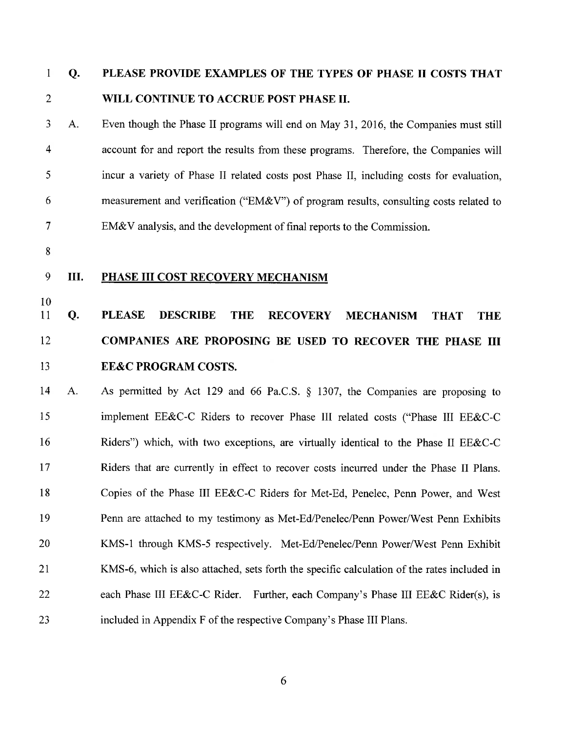#### $\mathbf{1}$ Q. PLEASE PROVIDE EXAMPLES OF THE TYPES OF PHASE II COSTS THAT  $\overline{2}$ WILL CONTINUE TO ACCRUE POST PHASE II.

 $\overline{3}$ A. Even though the Phase II programs will end on May 31, 2016, the Companies must still  $\overline{4}$ account for and report the results from these programs. Therefore, the Companies will 5 incur a variety of Phase II related costs post Phase II, including costs for evaluation, 6 measurement and verification ("EM&V") of program results, consulting costs related to  $\overline{7}$ EM&V analysis, and the development of final reports to the Commission.

8

10

#### 9 Ш. PHASE III COST RECOVERY MECHANISM

#### 11 Q. **PLEASE DESCRIBE THE RECOVERY MECHANISM THAT THE** 12 COMPANIES ARE PROPOSING BE USED TO RECOVER THE PHASE III 13 **EE&C PROGRAM COSTS.**

As permitted by Act 129 and 66 Pa.C.S. § 1307, the Companies are proposing to 14  $A<sub>1</sub>$ 15 implement EE&C-C Riders to recover Phase III related costs ("Phase III EE&C-C 16 Riders") which, with two exceptions, are virtually identical to the Phase II EE&C-C 17 Riders that are currently in effect to recover costs incurred under the Phase II Plans. 18 Copies of the Phase III EE&C-C Riders for Met-Ed, Penelec, Penn Power, and West 19 Penn are attached to my testimony as Met-Ed/Penelec/Penn Power/West Penn Exhibits 20 KMS-1 through KMS-5 respectively. Met-Ed/Penelec/Penn Power/West Penn Exhibit 21 KMS-6, which is also attached, sets forth the specific calculation of the rates included in 22 each Phase III EE&C-C Rider. Further, each Company's Phase III EE&C Rider(s), is 23 included in Appendix F of the respective Company's Phase III Plans.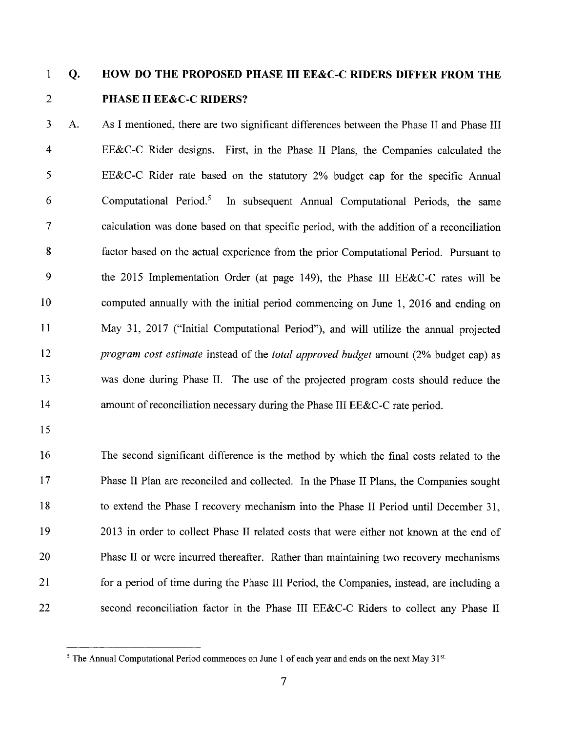#### $\mathbf{1}$  $Q<sub>r</sub>$ HOW DO THE PROPOSED PHASE III EE&C-C RIDERS DIFFER FROM THE  $\overline{2}$ **PHASE II EE&C-C RIDERS?**

 $\overline{3}$ As I mentioned, there are two significant differences between the Phase II and Phase III  $\mathbf{A}$ .  $\overline{4}$ EE&C-C Rider designs. First, in the Phase II Plans, the Companies calculated the 5 EE&C-C Rider rate based on the statutory  $2\%$  budget cap for the specific Annual In subsequent Annual Computational Periods, the same 6 Computational Period.<sup>5</sup>  $\overline{7}$ calculation was done based on that specific period, with the addition of a reconciliation 8 factor based on the actual experience from the prior Computational Period. Pursuant to 9 the 2015 Implementation Order (at page 149), the Phase III EE&C-C rates will be 10 computed annually with the initial period commencing on June 1, 2016 and ending on 11 May 31, 2017 ("Initial Computational Period"), and will utilize the annual projected 12 *program cost estimate* instead of the *total approved budget* amount (2% budget cap) as 13 was done during Phase II. The use of the projected program costs should reduce the 14 amount of reconciliation necessary during the Phase III EE&C-C rate period.

15

16 The second significant difference is the method by which the final costs related to the 17 Phase II Plan are reconciled and collected. In the Phase II Plans, the Companies sought 18 to extend the Phase I recovery mechanism into the Phase II Period until December 31, 19 2013 in order to collect Phase II related costs that were either not known at the end of 20 Phase II or were incurred thereafter. Rather than maintaining two recovery mechanisms 21 for a period of time during the Phase III Period, the Companies, instead, are including a second reconciliation factor in the Phase III EE&C-C Riders to collect any Phase II 22

<sup>&</sup>lt;sup>5</sup> The Annual Computational Period commences on June 1 of each year and ends on the next May 31st.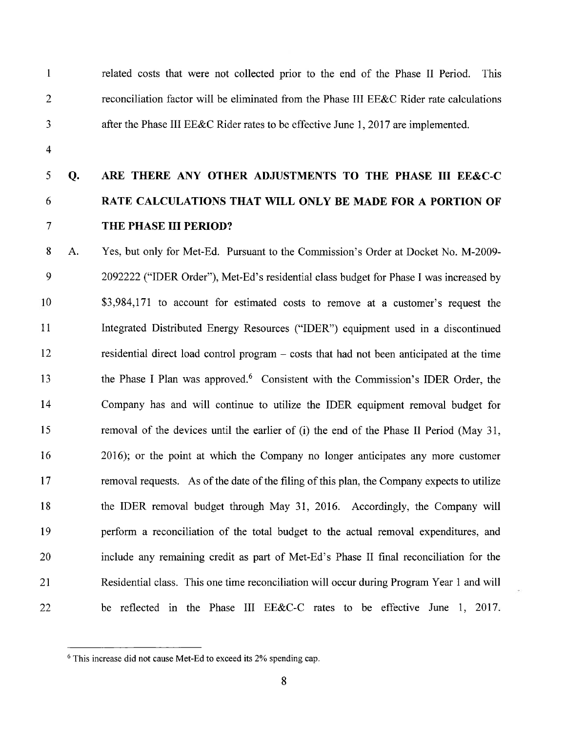$\mathbf{1}$  $\overline{2}$ 

related costs that were not collected prior to the end of the Phase II Period. This reconciliation factor will be eliminated from the Phase III EE&C Rider rate calculations after the Phase III EE&C Rider rates to be effective June 1, 2017 are implemented.

 $\overline{\mathbf{4}}$ 

3

#### 5 Q. ARE THERE ANY OTHER ADJUSTMENTS TO THE PHASE III EE&C-C 6 RATE CALCULATIONS THAT WILL ONLY BE MADE FOR A PORTION OF  $\overline{7}$ THE PHASE III PERIOD?

8  $\mathbf{A}$ . Yes, but only for Met-Ed. Pursuant to the Commission's Order at Docket No. M-2009-9 2092222 ("IDER Order"), Met-Ed's residential class budget for Phase I was increased by 10 \$3,984,171 to account for estimated costs to remove at a customer's request the 11 Integrated Distributed Energy Resources ("IDER") equipment used in a discontinued 12 residential direct load control program – costs that had not been anticipated at the time the Phase I Plan was approved.<sup>6</sup> Consistent with the Commission's IDER Order, the 13 14 Company has and will continue to utilize the IDER equipment removal budget for 15 removal of the devices until the earlier of (i) the end of the Phase II Period (May 31, 16 2016); or the point at which the Company no longer anticipates any more customer 17 removal requests. As of the date of the filing of this plan, the Company expects to utilize 18 the IDER removal budget through May 31, 2016. Accordingly, the Company will 19 perform a reconciliation of the total budget to the actual removal expenditures, and 20 include any remaining credit as part of Met-Ed's Phase II final reconciliation for the Residential class. This one time reconciliation will occur during Program Year 1 and will 21 be reflected in the Phase III EE&C-C rates to be effective June 1, 2017. 22

<sup>&</sup>lt;sup>6</sup> This increase did not cause Met-Ed to exceed its 2% spending cap.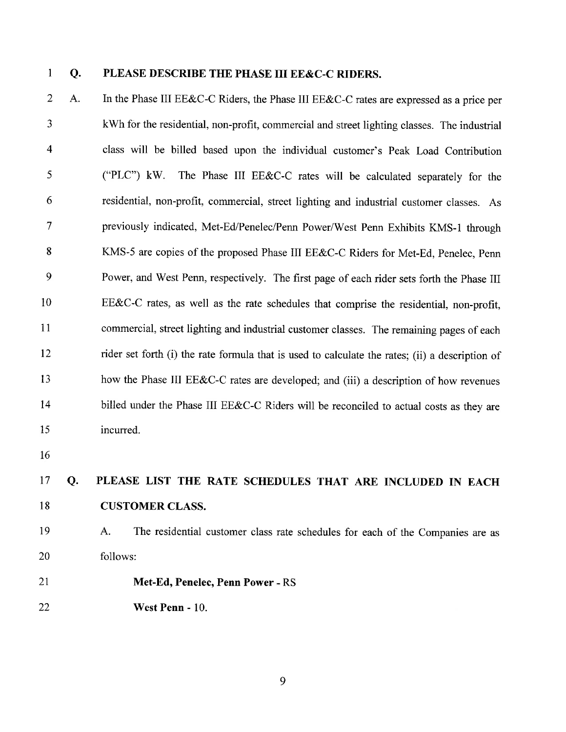$\mathbf{1}$ 

**Q.** 

### PLEASE DESCRIBE THE PHASE III EE&C-C RIDERS.

 $\overline{2}$ In the Phase III EE&C-C Riders, the Phase III EE&C-C rates are expressed as a price per  $\mathbf{A}$ 3 kWh for the residential, non-profit, commercial and street lighting classes. The industrial  $\overline{4}$ class will be billed based upon the individual customer's Peak Load Contribution 5 The Phase III EE&C-C rates will be calculated separately for the ("PLC")  $kW$ . 6 residential, non-profit, commercial, street lighting and industrial customer classes. As  $\overline{7}$ previously indicated, Met-Ed/Penelec/Penn Power/West Penn Exhibits KMS-1 through 8 KMS-5 are copies of the proposed Phase III EE&C-C Riders for Met-Ed, Penelec, Penn 9 Power, and West Penn, respectively. The first page of each rider sets forth the Phase III 10 EE&C-C rates, as well as the rate schedules that comprise the residential, non-profit, 11 commercial, street lighting and industrial customer classes. The remaining pages of each 12 rider set forth (i) the rate formula that is used to calculate the rates; (ii) a description of how the Phase III EE&C-C rates are developed; and (iii) a description of how revenues 13 14 billed under the Phase III EE&C-C Riders will be reconciled to actual costs as they are 15 incurred.

16

#### 17 PLEASE LIST THE RATE SCHEDULES THAT ARE INCLUDED IN EACH **O.** 18 **CUSTOMER CLASS.**

19

20

A. The residential customer class rate schedules for each of the Companies are as follows:

- 21 Met-Ed, Penelec, Penn Power - RS
- 22 West Penn - 10.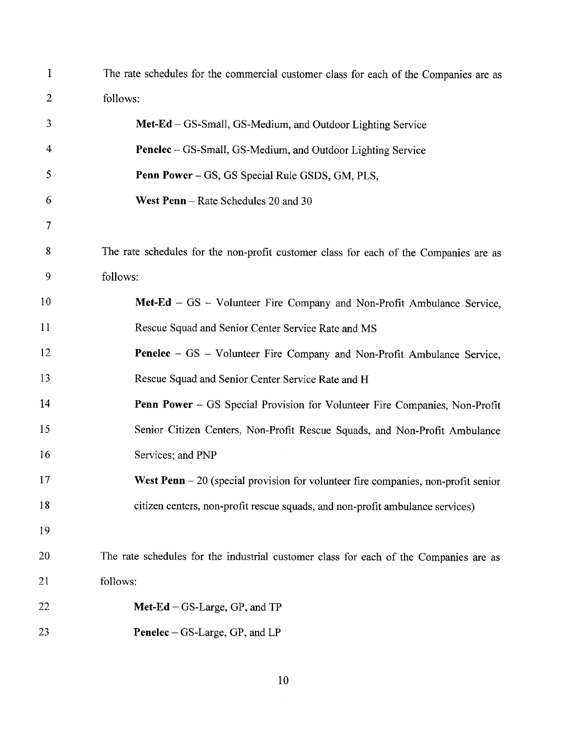| $\mathbf{1}$   | The rate schedules for the commercial customer class for each of the Companies are as |
|----------------|---------------------------------------------------------------------------------------|
| 2              | follows:                                                                              |
| 3              | $Met-Ed - GS-Small$ , $GS-Medium$ , and Outdoor Lighting Service                      |
| $\overline{4}$ | Penelec – GS-Small, GS-Medium, and Outdoor Lighting Service                           |
| 5              | Penn Power - GS, GS Special Rule GSDS, GM, PLS,                                       |
| 6              | West Penn – Rate Schedules 20 and 30                                                  |
| 7              |                                                                                       |
| 8              | The rate schedules for the non-profit customer class for each of the Companies are as |
| 9              | follows:                                                                              |
| 10             | Met-Ed - GS - Volunteer Fire Company and Non-Profit Ambulance Service,                |
| 11             | Rescue Squad and Senior Center Service Rate and MS                                    |
| 12             | Penelec - GS - Volunteer Fire Company and Non-Profit Ambulance Service,               |
| 13             | Rescue Squad and Senior Center Service Rate and H                                     |
| 14             | Penn Power - GS Special Provision for Volunteer Fire Companies, Non-Profit            |
| 15             | Senior Citizen Centers, Non-Profit Rescue Squads, and Non-Profit Ambulance            |
| 16             | Services; and PNP                                                                     |
| 17             | West Penn $-20$ (special provision for volunteer fire companies, non-profit senior    |
| 18             | citizen centers, non-profit rescue squads, and non-profit ambulance services)         |
| 19             |                                                                                       |
| 20             | The rate schedules for the industrial customer class for each of the Companies are as |
| 21             | follows:                                                                              |
| 22             | $Met-Ed - GS-Large, GP, and TP$                                                       |
| 23             | <b>Penelec</b> – GS-Large, GP, and LP                                                 |

 $\overline{10}$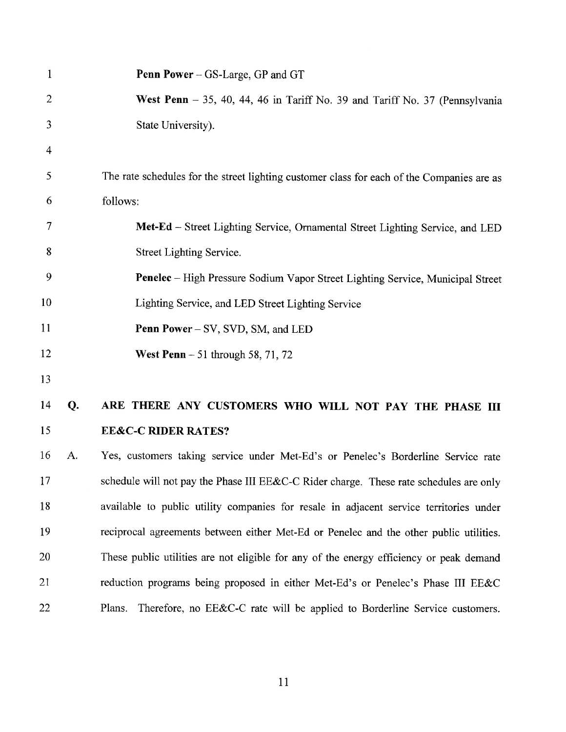| $\mathbf{1}$   |    | <b>Penn Power</b> – GS-Large, GP and GT                                                    |
|----------------|----|--------------------------------------------------------------------------------------------|
| $\overline{2}$ |    | West Penn $-35$ , 40, 44, 46 in Tariff No. 39 and Tariff No. 37 (Pennsylvania              |
| $\mathfrak{Z}$ |    | State University).                                                                         |
| 4              |    |                                                                                            |
| 5              |    | The rate schedules for the street lighting customer class for each of the Companies are as |
| 6              |    | follows:                                                                                   |
| 7              |    | Met-Ed - Street Lighting Service, Ornamental Street Lighting Service, and LED              |
| 8              |    | Street Lighting Service.                                                                   |
| 9              |    | Penelec - High Pressure Sodium Vapor Street Lighting Service, Municipal Street             |
| 10             |    | Lighting Service, and LED Street Lighting Service                                          |
| 11             |    | <b>Penn Power</b> – SV, SVD, SM, and LED                                                   |
| 12             |    | West Penn $-51$ through 58, 71, 72                                                         |
| 13             |    |                                                                                            |
| 14             | Q. | ARE THERE ANY CUSTOMERS WHO WILL NOT PAY THE PHASE III                                     |
| 15             |    | <b>EE&amp;C-C RIDER RATES?</b>                                                             |
| 16             | A. | Yes, customers taking service under Met-Ed's or Penelec's Borderline Service rate          |
| 17             |    | schedule will not pay the Phase III EE&C-C Rider charge. These rate schedules are only     |
| 18             |    | available to public utility companies for resale in adjacent service territories under     |
| 19             |    | reciprocal agreements between either Met-Ed or Penelec and the other public utilities.     |
| 20             |    | These public utilities are not eligible for any of the energy efficiency or peak demand    |
| 21             |    | reduction programs being proposed in either Met-Ed's or Penelec's Phase III EE&C           |
| 22             |    | Therefore, no EE&C-C rate will be applied to Borderline Service customers.<br>Plans.       |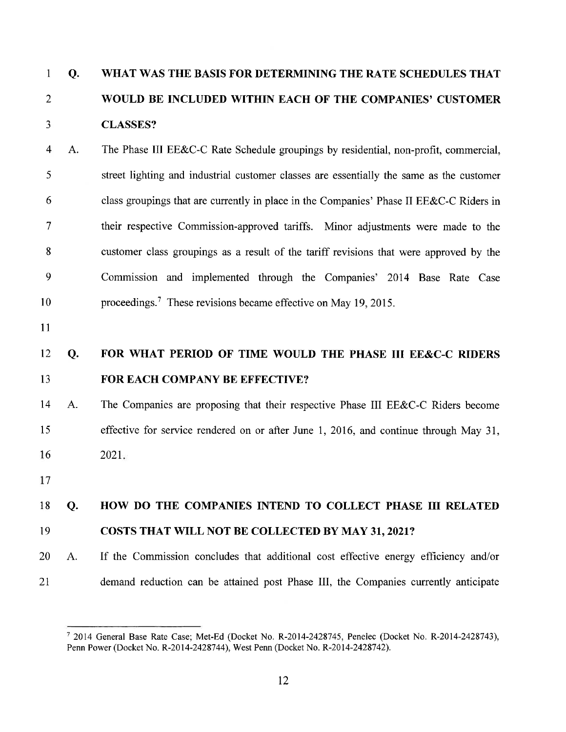#### $\mathbf{1}$  $Q<sub>r</sub>$ WHAT WAS THE BASIS FOR DETERMINING THE RATE SCHEDULES THAT  $\overline{2}$ WOULD BE INCLUDED WITHIN EACH OF THE COMPANIES' CUSTOMER **CLASSES?** 3

- $\overline{4}$  $A<sub>1</sub>$ The Phase III EE&C-C Rate Schedule groupings by residential, non-profit, commercial, 5 street lighting and industrial customer classes are essentially the same as the customer 6 class groupings that are currently in place in the Companies' Phase II EE&C-C Riders in  $\overline{7}$ their respective Commission-approved tariffs. Minor adjustments were made to the 8 customer class groupings as a result of the tariff revisions that were approved by the 9 Commission and implemented through the Companies' 2014 Base Rate Case 10 proceedings.<sup>7</sup> These revisions became effective on May 19, 2015.
- 11

#### FOR WHAT PERIOD OF TIME WOULD THE PHASE III EE&C-C RIDERS 12 **Q.** 13 FOR EACH COMPANY BE EFFECTIVE?

14 A. The Companies are proposing that their respective Phase III EE&C-C Riders become 15 effective for service rendered on or after June 1, 2016, and continue through May 31, 16  $2021.$ 

17

#### 18 HOW DO THE COMPANIES INTEND TO COLLECT PHASE III RELATED **O.**

#### 19 **COSTS THAT WILL NOT BE COLLECTED BY MAY 31, 2021?**

20 If the Commission concludes that additional cost effective energy efficiency and/or  $A_{\cdot}$ 21 demand reduction can be attained post Phase III, the Companies currently anticipate

<sup>7 2014</sup> General Base Rate Case; Met-Ed (Docket No. R-2014-2428745, Penelec (Docket No. R-2014-2428743), Penn Power (Docket No. R-2014-2428744), West Penn (Docket No. R-2014-2428742).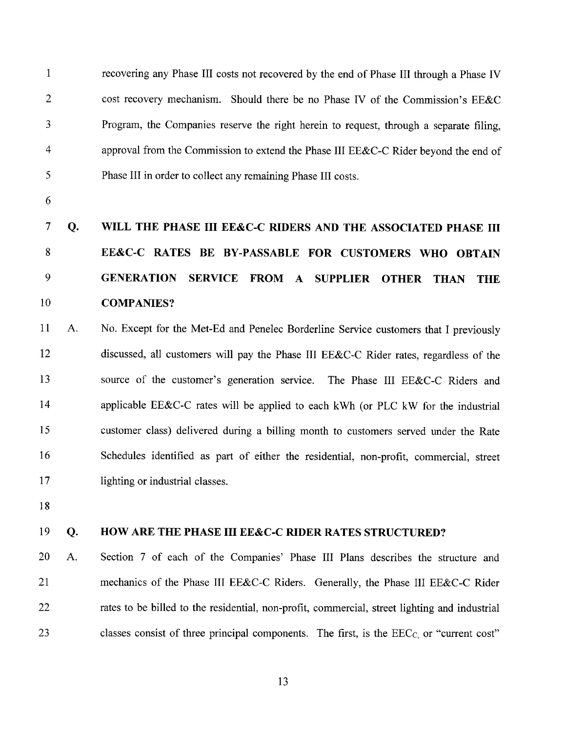$\mathbf{1}$ recovering any Phase III costs not recovered by the end of Phase III through a Phase IV  $\overline{2}$ cost recovery mechanism. Should there be no Phase IV of the Commission's EE&C 3 Program, the Companies reserve the right herein to request, through a separate filing.  $\overline{4}$ approval from the Commission to extend the Phase III EE&C-C Rider beyond the end of 5 Phase III in order to collect any remaining Phase III costs.

6

#### $\overline{7}$ Q. WILL THE PHASE III EE&C-C RIDERS AND THE ASSOCIATED PHASE III 8 EE&C-C RATES BE BY-PASSABLE FOR CUSTOMERS WHO OBTAIN 9 GENERATION SERVICE FROM A SUPPLIER OTHER THAN **THE** 10 **COMPANIES?**

11 No. Except for the Met-Ed and Penelec Borderline Service customers that I previously  $A.$ discussed, all customers will pay the Phase III EE&C-C Rider rates, regardless of the 12 13 source of the customer's generation service. The Phase III EE&C-C Riders and 14 applicable EE&C-C rates will be applied to each kWh (or PLC kW for the industrial 15 customer class) delivered during a billing month to customers served under the Rate 16 Schedules identified as part of either the residential, non-profit, commercial, street 17 lighting or industrial classes.

18

#### 19 HOW ARE THE PHASE III EE&C-C RIDER RATES STRUCTURED? Q.

20 Section 7 of each of the Companies' Phase III Plans describes the structure and  $\mathbf{A}$ . 21 mechanics of the Phase III EE&C-C Riders. Generally, the Phase III EE&C-C Rider 22 rates to be billed to the residential, non-profit, commercial, street lighting and industrial 23 classes consist of three principal components. The first, is the  $\text{EEC}_C$  or "current cost"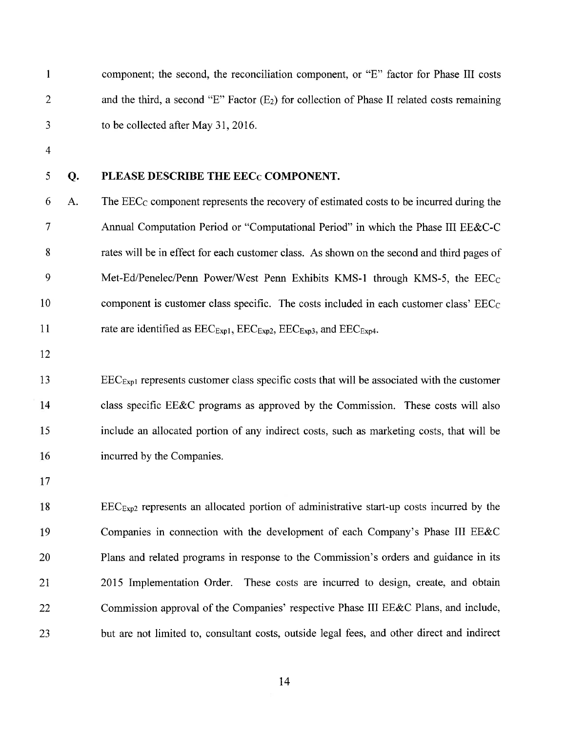| $\mathbf{1}$   |    | component; the second, the reconciliation component, or "E" factor for Phase III costs                                                         |
|----------------|----|------------------------------------------------------------------------------------------------------------------------------------------------|
| $\overline{2}$ |    | and the third, a second "E" Factor $(E_2)$ for collection of Phase II related costs remaining                                                  |
| 3              |    | to be collected after May 31, 2016.                                                                                                            |
| $\overline{4}$ |    |                                                                                                                                                |
| 5              | Q. | PLEASE DESCRIBE THE EEC <sub>C</sub> COMPONENT.                                                                                                |
| 6              | A. | The $\text{EEC}_C$ component represents the recovery of estimated costs to be incurred during the                                              |
| 7              |    | Annual Computation Period or "Computational Period" in which the Phase III EE&C-C                                                              |
| 8              |    | rates will be in effect for each customer class. As shown on the second and third pages of                                                     |
| 9              |    | Met-Ed/Penelec/Penn Power/West Penn Exhibits KMS-1 through KMS-5, the EEC <sub>C</sub>                                                         |
| 10             |    | component is customer class specific. The costs included in each customer class' EEC <sub>C</sub>                                              |
| 11             |    | rate are identified as $\text{EEC}_{\text{Exp1}}$ , $\text{EEC}_{\text{Exp2}}$ , $\text{EEC}_{\text{Exp3}}$ , and $\text{EEC}_{\text{Exp4}}$ . |
| 12             |    |                                                                                                                                                |
| 13             |    | $\text{EEC}_{\text{Expl}}$ represents customer class specific costs that will be associated with the customer                                  |
| 14             |    | class specific EE&C programs as approved by the Commission. These costs will also                                                              |
| 15             |    | include an allocated portion of any indirect costs, such as marketing costs, that will be                                                      |
| 16             |    | incurred by the Companies.                                                                                                                     |
| 17             |    |                                                                                                                                                |
| 18             |    | $\text{EEC}_{\text{Exp2}}$ represents an allocated portion of administrative start-up costs incurred by the                                    |
| 19             |    | Companies in connection with the development of each Company's Phase III EE&C                                                                  |
| 20             |    | Plans and related programs in response to the Commission's orders and guidance in its                                                          |
| 21             |    | 2015 Implementation Order. These costs are incurred to design, create, and obtain                                                              |
| 22             |    | Commission approval of the Companies' respective Phase III EE&C Plans, and include,                                                            |
| 23             |    | but are not limited to, consultant costs, outside legal fees, and other direct and indirect                                                    |
|                |    |                                                                                                                                                |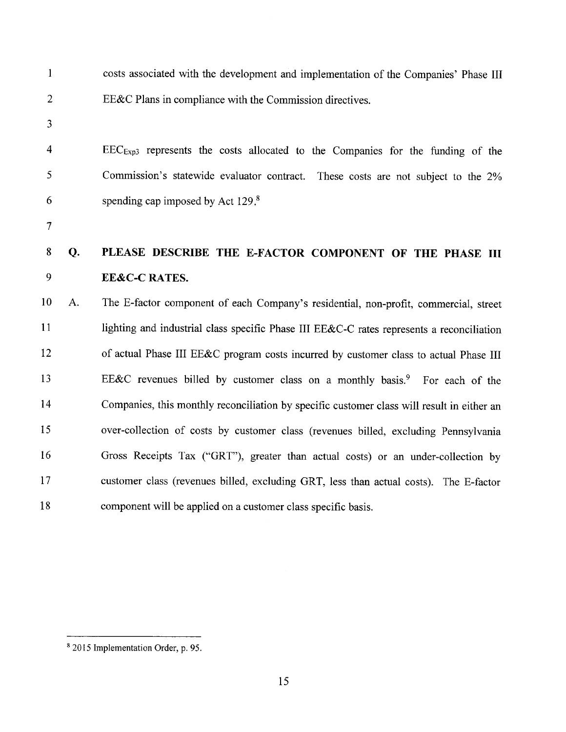| $\mathbf{1}$             |    | costs associated with the development and implementation of the Companies' Phase III       |
|--------------------------|----|--------------------------------------------------------------------------------------------|
| $\overline{2}$           |    | EE&C Plans in compliance with the Commission directives.                                   |
| 3                        |    |                                                                                            |
| 4                        |    | EEC <sub>Exp3</sub> represents the costs allocated to the Companies for the funding of the |
| 5                        |    | Commission's statewide evaluator contract. These costs are not subject to the 2%           |
| 6                        |    | spending cap imposed by Act 129.8                                                          |
| $\overline{\mathcal{L}}$ |    |                                                                                            |
| $\boldsymbol{8}$         | Q. | PLEASE DESCRIBE THE E-FACTOR COMPONENT OF THE PHASE III                                    |
| 9                        |    | <b>EE&amp;C-C RATES.</b>                                                                   |
| 10                       | A. | The E-factor component of each Company's residential, non-profit, commercial, street       |
| 11                       |    | lighting and industrial class specific Phase III EE&C-C rates represents a reconciliation  |
| 12                       |    | of actual Phase III EE&C program costs incurred by customer class to actual Phase III      |
| 13                       |    | EE&C revenues billed by customer class on a monthly basis. <sup>9</sup> For each of the    |
| 14                       |    | Companies, this monthly reconciliation by specific customer class will result in either an |
| 15                       |    | over-collection of costs by customer class (revenues billed, excluding Pennsylvania        |
| 16                       |    | Gross Receipts Tax ("GRT"), greater than actual costs) or an under-collection by           |
| 17                       |    | customer class (revenues billed, excluding GRT, less than actual costs). The E-factor      |
| 18                       |    | component will be applied on a customer class specific basis.                              |

<sup>&</sup>lt;sup>8</sup> 2015 Implementation Order, p. 95.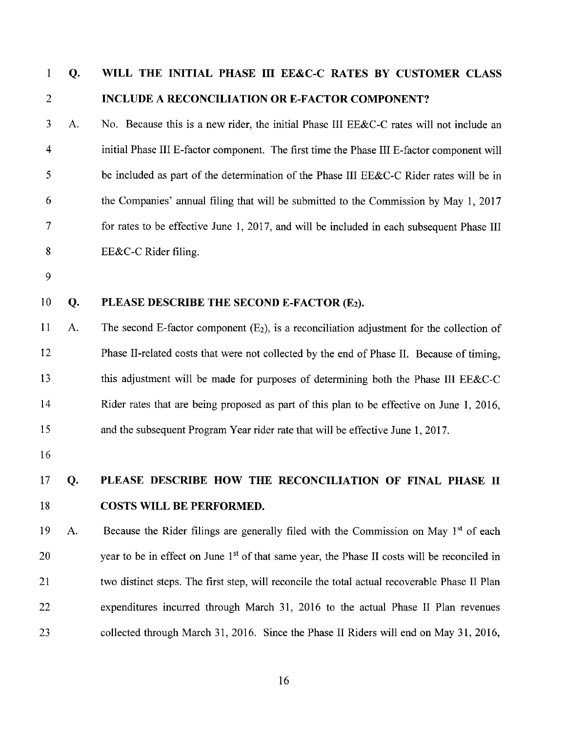#### $\mathbf{1}$ Q. WILL THE INITIAL PHASE III EE&C-C RATES BY CUSTOMER CLASS  $\overline{2}$ **INCLUDE A RECONCILIATION OR E-FACTOR COMPONENT?**

3 A. No. Because this is a new rider, the initial Phase III EE&C-C rates will not include an  $\overline{4}$ initial Phase III E-factor component. The first time the Phase III E-factor component will 5 be included as part of the determination of the Phase III EE&C-C Rider rates will be in 6 the Companies' annual filing that will be submitted to the Commission by May 1, 2017  $\overline{7}$ for rates to be effective June 1, 2017, and will be included in each subsequent Phase III 8  $EE&C-C$  Rider filing.

9

#### 10 **Q.** PLEASE DESCRIBE THE SECOND E-FACTOR (E2).

11  $\mathbf{A}$ . The second E-factor component  $(E_2)$ , is a reconciliation adjustment for the collection of 12 Phase II-related costs that were not collected by the end of Phase II. Because of timing. 13 this adjustment will be made for purposes of determining both the Phase III EE&C-C 14 Rider rates that are being proposed as part of this plan to be effective on June 1, 2016, 15 and the subsequent Program Year rider rate that will be effective June 1, 2017.

16

#### 17 Q. PLEASE DESCRIBE HOW THE RECONCILIATION OF FINAL PHASE II 18 **COSTS WILL BE PERFORMED.**

Because the Rider filings are generally filed with the Commission on May 1st of each 19  $A<sub>1</sub>$ 20 year to be in effect on June 1<sup>st</sup> of that same year, the Phase II costs will be reconciled in 21 two distinct steps. The first step, will reconcile the total actual recoverable Phase II Plan 22 expenditures incurred through March 31, 2016 to the actual Phase II Plan revenues collected through March 31, 2016. Since the Phase II Riders will end on May 31, 2016, 23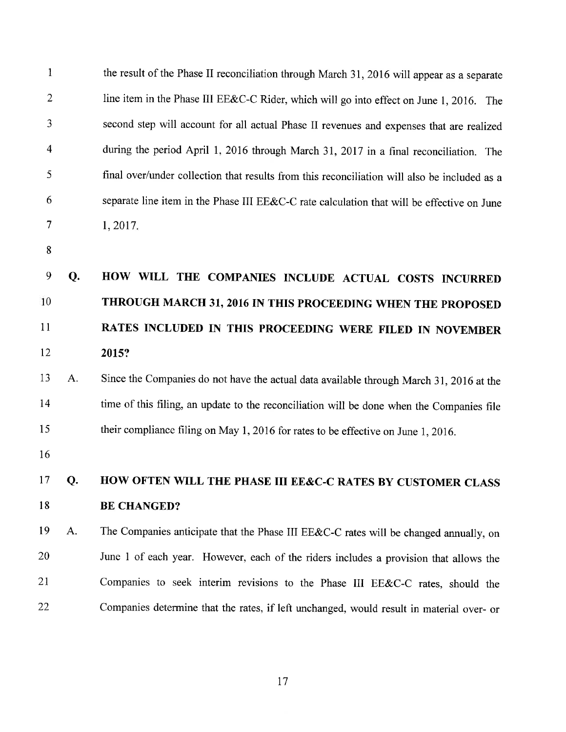| $\mathbf{1}$            |    | the result of the Phase II reconciliation through March 31, 2016 will appear as a separate   |
|-------------------------|----|----------------------------------------------------------------------------------------------|
| $\overline{2}$          |    | line item in the Phase III EE&C-C Rider, which will go into effect on June 1, 2016. The      |
| 3                       |    | second step will account for all actual Phase II revenues and expenses that are realized     |
| $\overline{\mathbf{4}}$ |    | during the period April 1, 2016 through March 31, 2017 in a final reconciliation. The        |
| 5                       |    | final over/under collection that results from this reconciliation will also be included as a |
| 6                       |    | separate line item in the Phase III EE&C-C rate calculation that will be effective on June   |
| $\overline{7}$          |    | 1,2017.                                                                                      |
| 8                       |    |                                                                                              |
| 9                       | Q. | HOW WILL THE COMPANIES INCLUDE ACTUAL COSTS INCURRED                                         |
| 10                      |    | THROUGH MARCH 31, 2016 IN THIS PROCEEDING WHEN THE PROPOSED                                  |
| 11                      |    | RATES INCLUDED IN THIS PROCEEDING WERE FILED IN NOVEMBER                                     |
| 12                      |    | 2015?                                                                                        |
| 13                      | A. | Since the Companies do not have the actual data available through March 31, 2016 at the      |
| 14                      |    | time of this filing, an update to the reconciliation will be done when the Companies file    |
| 15                      |    | their compliance filing on May 1, 2016 for rates to be effective on June 1, 2016.            |
| 16                      |    |                                                                                              |
| 17                      | Q. | HOW OFTEN WILL THE PHASE III EE&C-C RATES BY CUSTOMER CLASS                                  |
| 18                      |    | <b>BE CHANGED?</b>                                                                           |
| 19                      | A. | The Companies anticipate that the Phase III EE&C-C rates will be changed annually, on        |
| 20                      |    | June 1 of each year. However, each of the riders includes a provision that allows the        |
| 21                      |    | Companies to seek interim revisions to the Phase III EE&C-C rates, should the                |
| 22                      |    | Companies determine that the rates, if left unchanged, would result in material over- or     |

 $17\,$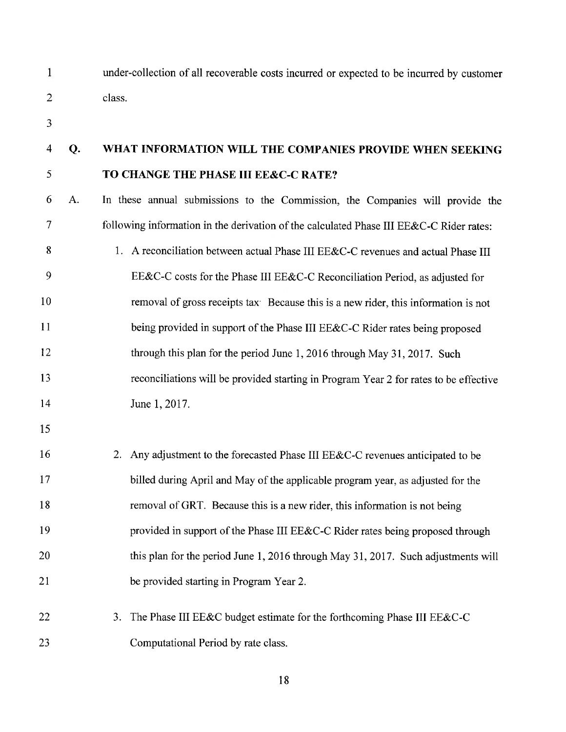$\mathbf{1}$  $\overline{2}$  under-collection of all recoverable costs incurred or expected to be incurred by customer class.

3

#### $\overline{4}$ **O.** WHAT INFORMATION WILL THE COMPANIES PROVIDE WHEN SEEKING 5 TO CHANGE THE PHASE III EE&C-C RATE?

6 A. In these annual submissions to the Commission, the Companies will provide the  $\overline{7}$ following information in the derivation of the calculated Phase III EE&C-C Rider rates:

8 1. A reconciliation between actual Phase III EE&C-C revenues and actual Phase III 9 EE&C-C costs for the Phase III EE&C-C Reconciliation Period, as adjusted for 10 removal of gross receipts tax Because this is a new rider, this information is not 11 being provided in support of the Phase III EE&C-C Rider rates being proposed 12 through this plan for the period June 1, 2016 through May 31, 2017. Such 13 reconciliations will be provided starting in Program Year 2 for rates to be effective  $14$ June 1, 2017.

15

16 2. Any adjustment to the forecasted Phase III EE&C-C revenues anticipated to be 17 billed during April and May of the applicable program year, as adjusted for the 18 removal of GRT. Because this is a new rider, this information is not being 19 provided in support of the Phase III EE&C-C Rider rates being proposed through 20 this plan for the period June 1, 2016 through May 31, 2017. Such adjustments will 21 be provided starting in Program Year 2.

22 3. The Phase III EE&C budget estimate for the forthcoming Phase III EE&C-C 23 Computational Period by rate class.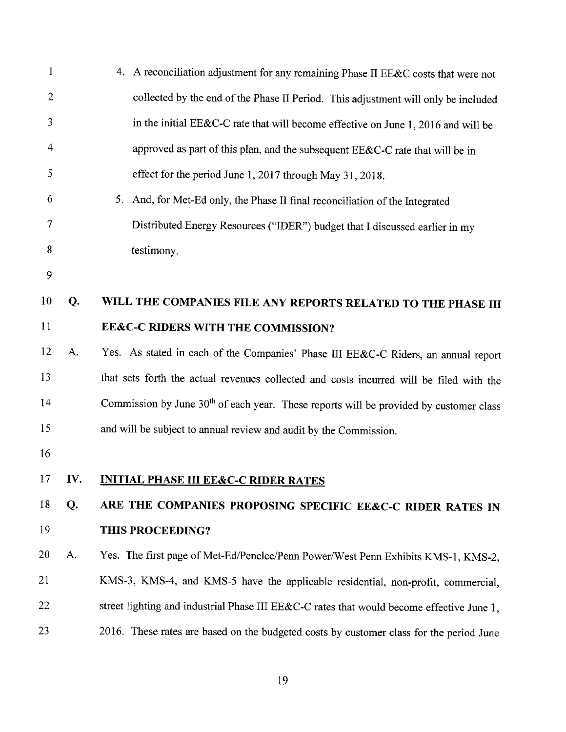| 1              |     | 4. A reconciliation adjustment for any remaining Phase II EE&C costs that were not                 |
|----------------|-----|----------------------------------------------------------------------------------------------------|
| $\overline{2}$ |     | collected by the end of the Phase II Period. This adjustment will only be included                 |
| 3              |     | in the initial EE&C-C rate that will become effective on June 1, 2016 and will be                  |
| 4              |     | approved as part of this plan, and the subsequent EE&C-C rate that will be in                      |
| 5              |     | effect for the period June 1, 2017 through May 31, 2018.                                           |
| 6              |     | 5. And, for Met-Ed only, the Phase II final reconciliation of the Integrated                       |
| 7              |     | Distributed Energy Resources ("IDER") budget that I discussed earlier in my                        |
| 8              |     | testimony.                                                                                         |
| 9              |     |                                                                                                    |
| 10             | Q.  | WILL THE COMPANIES FILE ANY REPORTS RELATED TO THE PHASE III                                       |
| 11             |     | EE&C-C RIDERS WITH THE COMMISSION?                                                                 |
| 12             | A.  | Yes. As stated in each of the Companies' Phase III EE&C-C Riders, an annual report                 |
| 13             |     | that sets forth the actual revenues collected and costs incurred will be filed with the            |
| 14             |     | Commission by June 30 <sup>th</sup> of each year. These reports will be provided by customer class |
| 15             |     | and will be subject to annual review and audit by the Commission.                                  |
| 16             |     |                                                                                                    |
| 17             | IV. | <b>INITIAL PHASE III EE&amp;C-C RIDER RATES</b>                                                    |
| 18             | Q.  | ARE THE COMPANIES PROPOSING SPECIFIC EE&C-C RIDER RATES IN                                         |
| 19             |     | THIS PROCEEDING?                                                                                   |
| 20             | A.  | Yes. The first page of Met-Ed/Penelec/Penn Power/West Penn Exhibits KMS-1, KMS-2,                  |
| 21             |     | KMS-3, KMS-4, and KMS-5 have the applicable residential, non-profit, commercial,                   |
| 22             |     | street lighting and industrial Phase III EE&C-C rates that would become effective June 1,          |
| 23             |     | 2016. These rates are based on the budgeted costs by customer class for the period June            |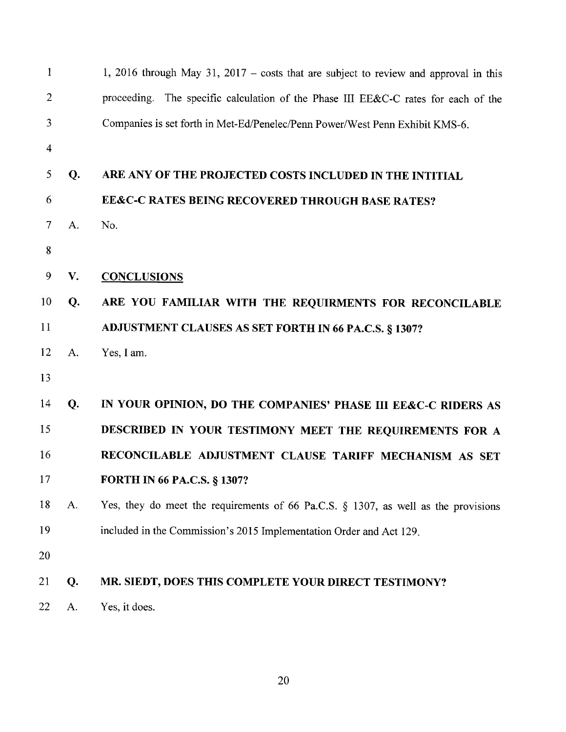| $\mathbf{1}$   |    | 1, 2016 through May 31, 2017 – costs that are subject to review and approval in this  |
|----------------|----|---------------------------------------------------------------------------------------|
| $\overline{2}$ |    | proceeding. The specific calculation of the Phase III EE&C-C rates for each of the    |
| $\overline{3}$ |    | Companies is set forth in Met-Ed/Penelec/Penn Power/West Penn Exhibit KMS-6.          |
| $\overline{4}$ |    |                                                                                       |
| 5              | Q. | ARE ANY OF THE PROJECTED COSTS INCLUDED IN THE INTITIAL                               |
| 6              |    | EE&C-C RATES BEING RECOVERED THROUGH BASE RATES?                                      |
| $\overline{7}$ | A. | No.                                                                                   |
| 8              |    |                                                                                       |
| 9              | V. | <b>CONCLUSIONS</b>                                                                    |
| 10             | Q. | ARE YOU FAMILIAR WITH THE REQUIRMENTS FOR RECONCILABLE                                |
| 11             |    | ADJUSTMENT CLAUSES AS SET FORTH IN 66 PA.C.S. § 1307?                                 |
| 12             | A. | Yes, I am.                                                                            |
| 13             |    |                                                                                       |
| 14             | Q. | IN YOUR OPINION, DO THE COMPANIES' PHASE III EE&C-C RIDERS AS                         |
| 15             |    | DESCRIBED IN YOUR TESTIMONY MEET THE REQUIREMENTS FOR A                               |
| 16             |    | RECONCILABLE ADJUSTMENT CLAUSE TARIFF MECHANISM AS SET                                |
| 17             |    | <b>FORTH IN 66 PA.C.S. § 1307?</b>                                                    |
| 18             | A. | Yes, they do meet the requirements of 66 Pa.C.S. $\S$ 1307, as well as the provisions |
| 19             |    | included in the Commission's 2015 Implementation Order and Act 129.                   |
| 20             |    |                                                                                       |
| 21             | Q. | MR. SIEDT, DOES THIS COMPLETE YOUR DIRECT TESTIMONY?                                  |
| 22             | A. | Yes, it does.                                                                         |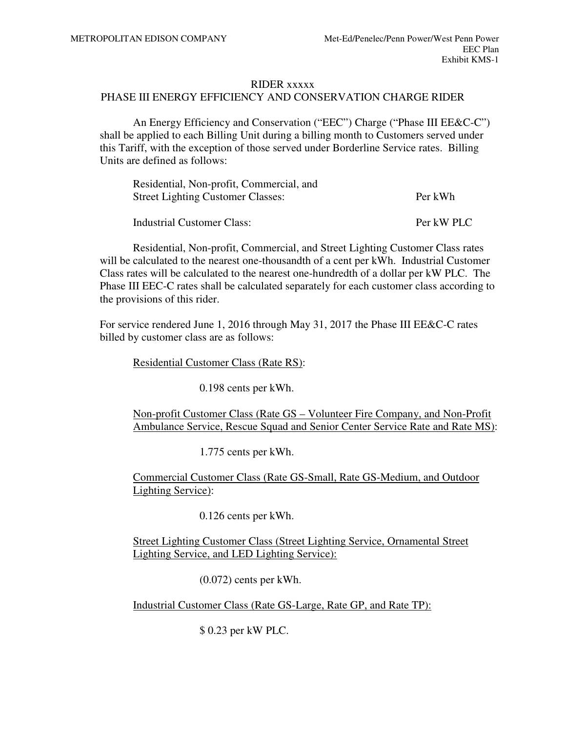#### RIDER xxxxx

### PHASE III ENERGY EFFICIENCY AND CONSERVATION CHARGE RIDER

An Energy Efficiency and Conservation ("EEC") Charge ("Phase III EE&C-C") shall be applied to each Billing Unit during a billing month to Customers served under this Tariff, with the exception of those served under Borderline Service rates. Billing Units are defined as follows:

| Residential, Non-profit, Commercial, and |            |  |  |  |
|------------------------------------------|------------|--|--|--|
| <b>Street Lighting Customer Classes:</b> | Per kWh    |  |  |  |
| <b>Industrial Customer Class:</b>        | Per kW PLC |  |  |  |

Residential, Non-profit, Commercial, and Street Lighting Customer Class rates will be calculated to the nearest one-thousandth of a cent per kWh. Industrial Customer Class rates will be calculated to the nearest one-hundredth of a dollar per kW PLC. The Phase III EEC-C rates shall be calculated separately for each customer class according to the provisions of this rider.

For service rendered June 1, 2016 through May 31, 2017 the Phase III EE&C-C rates billed by customer class are as follows:

Residential Customer Class (Rate RS):

0.198 cents per kWh.

Non-profit Customer Class (Rate GS – Volunteer Fire Company, and Non-Profit Ambulance Service, Rescue Squad and Senior Center Service Rate and Rate MS):

1.775 cents per kWh.

Commercial Customer Class (Rate GS-Small, Rate GS-Medium, and Outdoor Lighting Service):

0.126 cents per kWh.

Street Lighting Customer Class (Street Lighting Service, Ornamental Street Lighting Service, and LED Lighting Service):

(0.072) cents per kWh.

Industrial Customer Class (Rate GS-Large, Rate GP, and Rate TP):

\$ 0.23 per kW PLC.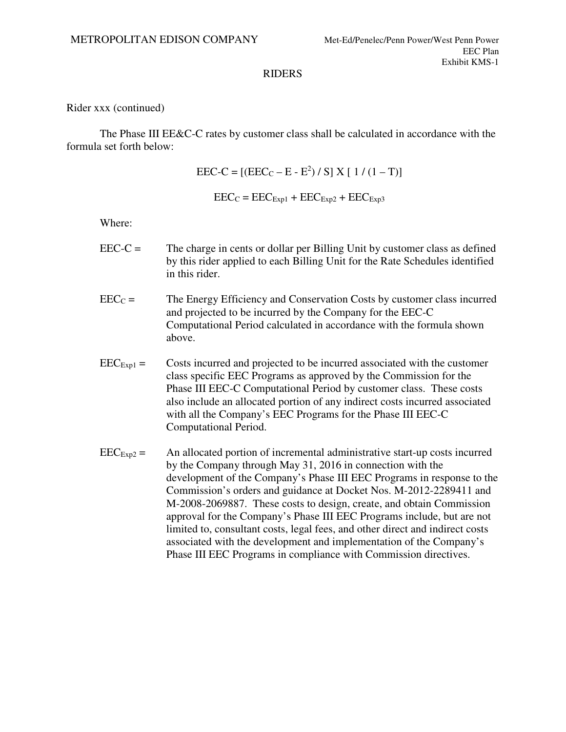Rider xxx (continued)

The Phase III EE&C-C rates by customer class shall be calculated in accordance with the formula set forth below:

 $\text{EEC-C} = \left[ (\text{EEC}_{\text{C}} - \text{E} - \text{E}^2) / S \right] X \left[ 1 / (1 - T) \right]$ 

 $\text{EEC}_C = \text{EEC}_{\text{Exp1}} + \text{EEC}_{\text{Exp2}} + \text{EEC}_{\text{Exp3}}$ 

Where:

- $\text{EEC-C} =$  The charge in cents or dollar per Billing Unit by customer class as defined by this rider applied to each Billing Unit for the Rate Schedules identified in this rider.
- $\text{EEC}_\text{C}$  = The Energy Efficiency and Conservation Costs by customer class incurred and projected to be incurred by the Company for the EEC-C Computational Period calculated in accordance with the formula shown above.
- $\text{EEC}_{\text{Exp1}} =$  Costs incurred and projected to be incurred associated with the customer class specific EEC Programs as approved by the Commission for the Phase III EEC-C Computational Period by customer class. These costs also include an allocated portion of any indirect costs incurred associated with all the Company's EEC Programs for the Phase III EEC-C Computational Period.
- $\text{EEC}_{\text{Exp2}} =$  An allocated portion of incremental administrative start-up costs incurred by the Company through May 31, 2016 in connection with the development of the Company's Phase III EEC Programs in response to the Commission's orders and guidance at Docket Nos. M-2012-2289411 and M-2008-2069887. These costs to design, create, and obtain Commission approval for the Company's Phase III EEC Programs include, but are not limited to, consultant costs, legal fees, and other direct and indirect costs associated with the development and implementation of the Company's Phase III EEC Programs in compliance with Commission directives.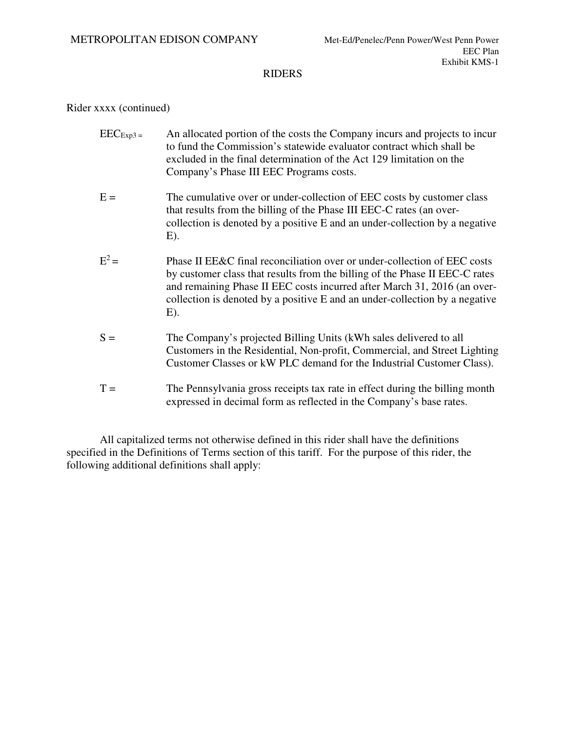### Rider xxxx (continued)

- $\text{EEC}_{\text{Exp3}}$  = An allocated portion of the costs the Company incurs and projects to incur to fund the Commission's statewide evaluator contract which shall be excluded in the final determination of the Act 129 limitation on the Company's Phase III EEC Programs costs.
- $E =$  The cumulative over or under-collection of EEC costs by customer class that results from the billing of the Phase III EEC-C rates (an overcollection is denoted by a positive E and an under-collection by a negative E).
- $E^2 =$ Phase II  $E\&C$  final reconciliation over or under-collection of EEC costs by customer class that results from the billing of the Phase II EEC-C rates and remaining Phase II EEC costs incurred after March 31, 2016 (an overcollection is denoted by a positive E and an under-collection by a negative E).
- S = The Company's projected Billing Units (kWh sales delivered to all Customers in the Residential, Non-profit, Commercial, and Street Lighting Customer Classes or kW PLC demand for the Industrial Customer Class).
- $T =$  The Pennsylvania gross receipts tax rate in effect during the billing month expressed in decimal form as reflected in the Company's base rates.

All capitalized terms not otherwise defined in this rider shall have the definitions specified in the Definitions of Terms section of this tariff. For the purpose of this rider, the following additional definitions shall apply: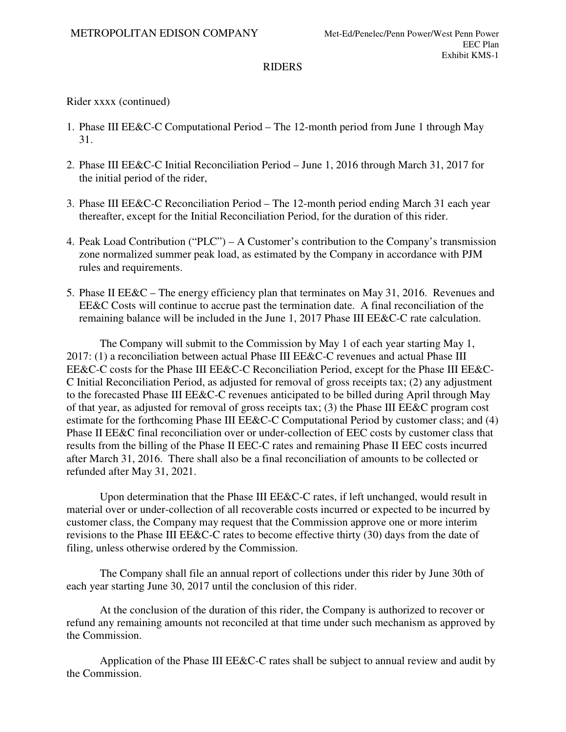Rider xxxx (continued)

- 1. Phase III EE&C-C Computational Period The 12-month period from June 1 through May 31.
- 2. Phase III EE&C-C Initial Reconciliation Period June 1, 2016 through March 31, 2017 for the initial period of the rider,
- 3. Phase III EE&C-C Reconciliation Period The 12-month period ending March 31 each year thereafter, except for the Initial Reconciliation Period, for the duration of this rider.
- 4. Peak Load Contribution ("PLC") A Customer's contribution to the Company's transmission zone normalized summer peak load, as estimated by the Company in accordance with PJM rules and requirements.
- 5. Phase II EE&C The energy efficiency plan that terminates on May 31, 2016. Revenues and EE&C Costs will continue to accrue past the termination date. A final reconciliation of the remaining balance will be included in the June 1, 2017 Phase III EE&C-C rate calculation.

The Company will submit to the Commission by May 1 of each year starting May 1, 2017: (1) a reconciliation between actual Phase III EE&C-C revenues and actual Phase III EE&C-C costs for the Phase III EE&C-C Reconciliation Period, except for the Phase III EE&C-C Initial Reconciliation Period, as adjusted for removal of gross receipts tax; (2) any adjustment to the forecasted Phase III EE&C-C revenues anticipated to be billed during April through May of that year, as adjusted for removal of gross receipts tax; (3) the Phase III EE&C program cost estimate for the forthcoming Phase III EE&C-C Computational Period by customer class; and (4) Phase II EE&C final reconciliation over or under-collection of EEC costs by customer class that results from the billing of the Phase II EEC-C rates and remaining Phase II EEC costs incurred after March 31, 2016. There shall also be a final reconciliation of amounts to be collected or refunded after May 31, 2021.

Upon determination that the Phase III EE&C-C rates, if left unchanged, would result in material over or under-collection of all recoverable costs incurred or expected to be incurred by customer class, the Company may request that the Commission approve one or more interim revisions to the Phase III EE&C-C rates to become effective thirty (30) days from the date of filing, unless otherwise ordered by the Commission.

The Company shall file an annual report of collections under this rider by June 30th of each year starting June 30, 2017 until the conclusion of this rider.

At the conclusion of the duration of this rider, the Company is authorized to recover or refund any remaining amounts not reconciled at that time under such mechanism as approved by the Commission.

Application of the Phase III EE&C-C rates shall be subject to annual review and audit by the Commission.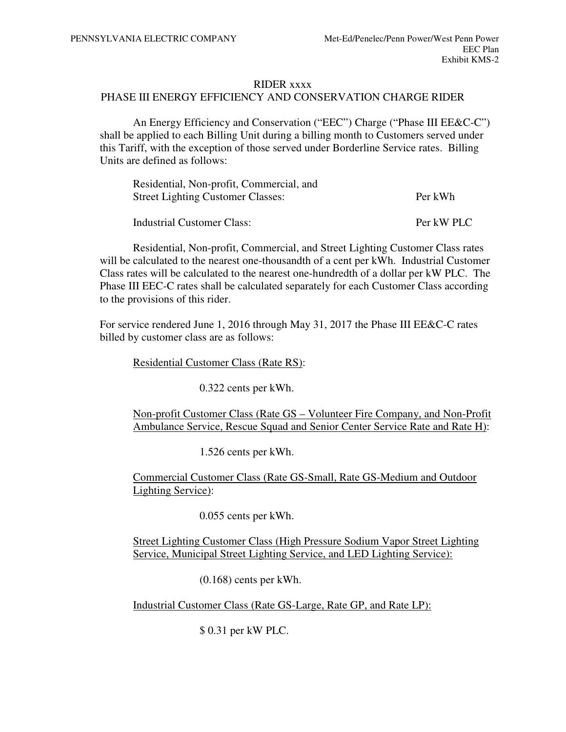#### RIDER xxxx

### PHASE III ENERGY EFFICIENCY AND CONSERVATION CHARGE RIDER

An Energy Efficiency and Conservation ("EEC") Charge ("Phase III EE&C-C") shall be applied to each Billing Unit during a billing month to Customers served under this Tariff, with the exception of those served under Borderline Service rates. Billing Units are defined as follows:

| Residential, Non-profit, Commercial, and |            |  |  |  |
|------------------------------------------|------------|--|--|--|
| <b>Street Lighting Customer Classes:</b> | Per kWh    |  |  |  |
| <b>Industrial Customer Class:</b>        | Per kW PLC |  |  |  |

Residential, Non-profit, Commercial, and Street Lighting Customer Class rates will be calculated to the nearest one-thousandth of a cent per kWh. Industrial Customer Class rates will be calculated to the nearest one-hundredth of a dollar per kW PLC. The Phase III EEC-C rates shall be calculated separately for each Customer Class according to the provisions of this rider.

For service rendered June 1, 2016 through May 31, 2017 the Phase III EE&C-C rates billed by customer class are as follows:

Residential Customer Class (Rate RS):

0.322 cents per kWh.

Non-profit Customer Class (Rate GS – Volunteer Fire Company, and Non-Profit Ambulance Service, Rescue Squad and Senior Center Service Rate and Rate H):

1.526 cents per kWh.

Commercial Customer Class (Rate GS-Small, Rate GS-Medium and Outdoor Lighting Service):

0.055 cents per kWh.

Street Lighting Customer Class (High Pressure Sodium Vapor Street Lighting Service, Municipal Street Lighting Service, and LED Lighting Service):

(0.168) cents per kWh.

Industrial Customer Class (Rate GS-Large, Rate GP, and Rate LP):

\$ 0.31 per kW PLC.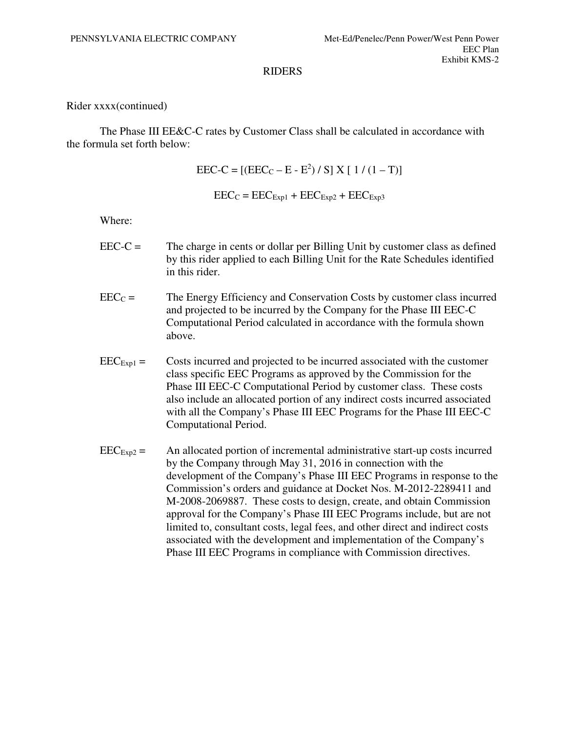### Rider xxxx(continued)

The Phase III EE&C-C rates by Customer Class shall be calculated in accordance with the formula set forth below:

 $\text{EEC-C} = \left[ (\text{EEC}_{\text{C}} - \text{E} - \text{E}^2) / S \right] X \left[ 1 / (1 - T) \right]$ 

 $\text{EEC}_C = \text{EEC}_{\text{Exp1}} + \text{EEC}_{\text{Exp2}} + \text{EEC}_{\text{Exp3}}$ 

Where:

- EEC-C = The charge in cents or dollar per Billing Unit by customer class as defined by this rider applied to each Billing Unit for the Rate Schedules identified in this rider.
- $\text{EEC}_C =$  The Energy Efficiency and Conservation Costs by customer class incurred and projected to be incurred by the Company for the Phase III EEC-C Computational Period calculated in accordance with the formula shown above.
- $\text{EEC}_{\text{Exp1}} =$  Costs incurred and projected to be incurred associated with the customer class specific EEC Programs as approved by the Commission for the Phase III EEC-C Computational Period by customer class. These costs also include an allocated portion of any indirect costs incurred associated with all the Company's Phase III EEC Programs for the Phase III EEC-C Computational Period.
- $\text{EEC}_{\text{Exp2}} =$  An allocated portion of incremental administrative start-up costs incurred by the Company through May 31, 2016 in connection with the development of the Company's Phase III EEC Programs in response to the Commission's orders and guidance at Docket Nos. M-2012-2289411 and M-2008-2069887. These costs to design, create, and obtain Commission approval for the Company's Phase III EEC Programs include, but are not limited to, consultant costs, legal fees, and other direct and indirect costs associated with the development and implementation of the Company's Phase III EEC Programs in compliance with Commission directives.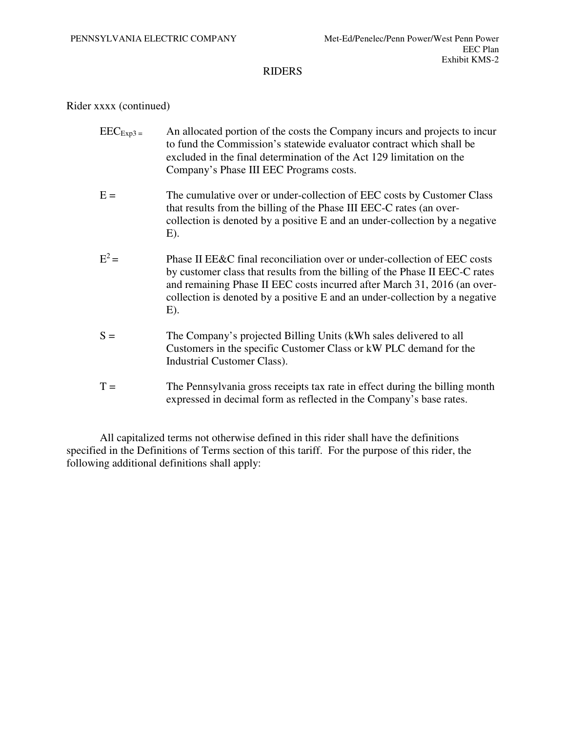### Rider xxxx (continued)

- $\text{EEC}_{\text{Exp3}}$  = An allocated portion of the costs the Company incurs and projects to incur to fund the Commission's statewide evaluator contract which shall be excluded in the final determination of the Act 129 limitation on the Company's Phase III EEC Programs costs.
- $E =$  The cumulative over or under-collection of EEC costs by Customer Class that results from the billing of the Phase III EEC-C rates (an overcollection is denoted by a positive E and an under-collection by a negative E).
- $E^2 =$ Phase II EE&C final reconciliation over or under-collection of EEC costs by customer class that results from the billing of the Phase II EEC-C rates and remaining Phase II EEC costs incurred after March 31, 2016 (an overcollection is denoted by a positive E and an under-collection by a negative E).
- S = The Company's projected Billing Units (kWh sales delivered to all Customers in the specific Customer Class or kW PLC demand for the Industrial Customer Class).
- $T =$  The Pennsylvania gross receipts tax rate in effect during the billing month expressed in decimal form as reflected in the Company's base rates.

All capitalized terms not otherwise defined in this rider shall have the definitions specified in the Definitions of Terms section of this tariff. For the purpose of this rider, the following additional definitions shall apply: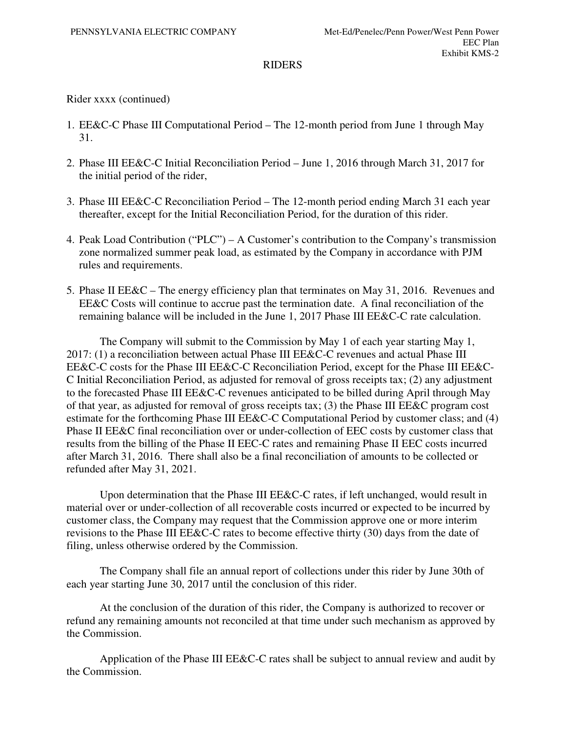## Rider xxxx (continued)

- 1. EE&C-C Phase III Computational Period The 12-month period from June 1 through May 31.
- 2. Phase III EE&C-C Initial Reconciliation Period June 1, 2016 through March 31, 2017 for the initial period of the rider,
- 3. Phase III EE&C-C Reconciliation Period The 12-month period ending March 31 each year thereafter, except for the Initial Reconciliation Period, for the duration of this rider.
- 4. Peak Load Contribution ("PLC") A Customer's contribution to the Company's transmission zone normalized summer peak load, as estimated by the Company in accordance with PJM rules and requirements.
- 5. Phase II EE&C The energy efficiency plan that terminates on May 31, 2016. Revenues and EE&C Costs will continue to accrue past the termination date. A final reconciliation of the remaining balance will be included in the June 1, 2017 Phase III EE&C-C rate calculation.

The Company will submit to the Commission by May 1 of each year starting May 1, 2017: (1) a reconciliation between actual Phase III EE&C-C revenues and actual Phase III EE&C-C costs for the Phase III EE&C-C Reconciliation Period, except for the Phase III EE&C-C Initial Reconciliation Period, as adjusted for removal of gross receipts tax; (2) any adjustment to the forecasted Phase III EE&C-C revenues anticipated to be billed during April through May of that year, as adjusted for removal of gross receipts tax; (3) the Phase III EE&C program cost estimate for the forthcoming Phase III EE&C-C Computational Period by customer class; and (4) Phase II EE&C final reconciliation over or under-collection of EEC costs by customer class that results from the billing of the Phase II EEC-C rates and remaining Phase II EEC costs incurred after March 31, 2016. There shall also be a final reconciliation of amounts to be collected or refunded after May 31, 2021.

Upon determination that the Phase III EE&C-C rates, if left unchanged, would result in material over or under-collection of all recoverable costs incurred or expected to be incurred by customer class, the Company may request that the Commission approve one or more interim revisions to the Phase III EE&C-C rates to become effective thirty (30) days from the date of filing, unless otherwise ordered by the Commission.

The Company shall file an annual report of collections under this rider by June 30th of each year starting June 30, 2017 until the conclusion of this rider.

At the conclusion of the duration of this rider, the Company is authorized to recover or refund any remaining amounts not reconciled at that time under such mechanism as approved by the Commission.

Application of the Phase III EE&C-C rates shall be subject to annual review and audit by the Commission.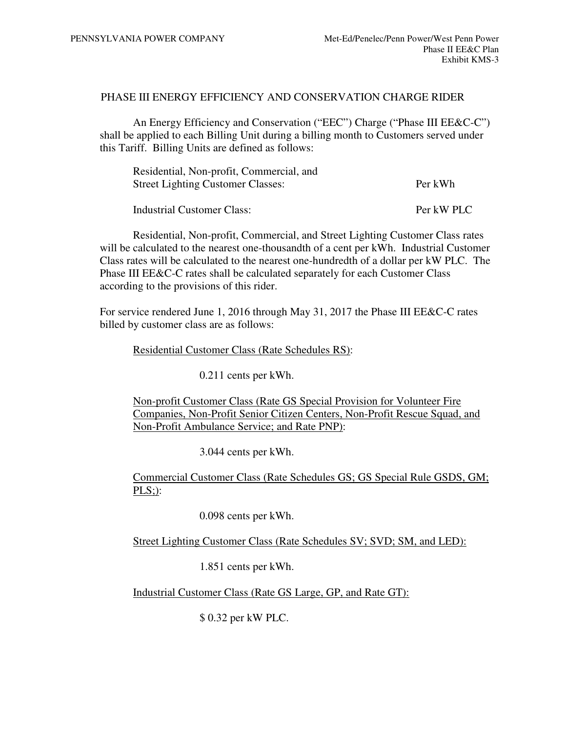### PHASE III ENERGY EFFICIENCY AND CONSERVATION CHARGE RIDER

An Energy Efficiency and Conservation ("EEC") Charge ("Phase III EE&C-C") shall be applied to each Billing Unit during a billing month to Customers served under this Tariff. Billing Units are defined as follows:

| Residential, Non-profit, Commercial, and |            |
|------------------------------------------|------------|
| <b>Street Lighting Customer Classes:</b> | Per kWh    |
| Industrial Customer Class:               | Per kW PLC |

Residential, Non-profit, Commercial, and Street Lighting Customer Class rates will be calculated to the nearest one-thousandth of a cent per kWh. Industrial Customer Class rates will be calculated to the nearest one-hundredth of a dollar per kW PLC. The Phase III EE&C-C rates shall be calculated separately for each Customer Class according to the provisions of this rider.

For service rendered June 1, 2016 through May 31, 2017 the Phase III EE&C-C rates billed by customer class are as follows:

Residential Customer Class (Rate Schedules RS):

0.211 cents per kWh.

Non-profit Customer Class (Rate GS Special Provision for Volunteer Fire Companies, Non-Profit Senior Citizen Centers, Non-Profit Rescue Squad, and Non-Profit Ambulance Service; and Rate PNP):

3.044 cents per kWh.

Commercial Customer Class (Rate Schedules GS; GS Special Rule GSDS, GM; PLS;):

0.098 cents per kWh.

Street Lighting Customer Class (Rate Schedules SV; SVD; SM, and LED):

1.851 cents per kWh.

Industrial Customer Class (Rate GS Large, GP, and Rate GT):

\$ 0.32 per kW PLC.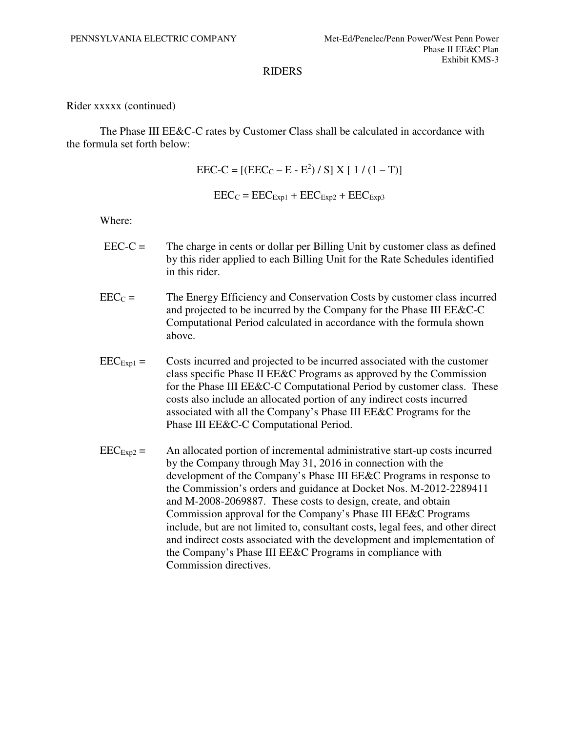Rider xxxxx (continued)

The Phase III EE&C-C rates by Customer Class shall be calculated in accordance with the formula set forth below:

 $\text{EEC-C} = \left[ (\text{EEC}_{\text{C}} - \text{E} - \text{E}^2) / S \right] X \left[ 1 / (1 - T) \right]$ 

 $\text{EEC}_C = \text{EEC}_{\text{Exp1}} + \text{EEC}_{\text{Exp2}} + \text{EEC}_{\text{Exp3}}$ 

Where:

- $\text{EEC-C} =$  The charge in cents or dollar per Billing Unit by customer class as defined by this rider applied to each Billing Unit for the Rate Schedules identified in this rider.
- $\text{EEC}_C =$  The Energy Efficiency and Conservation Costs by customer class incurred and projected to be incurred by the Company for the Phase III EE&C-C Computational Period calculated in accordance with the formula shown above.
- $\text{EEC}_{\text{Exp1}} =$  Costs incurred and projected to be incurred associated with the customer class specific Phase II EE&C Programs as approved by the Commission for the Phase III EE&C-C Computational Period by customer class. These costs also include an allocated portion of any indirect costs incurred associated with all the Company's Phase III EE&C Programs for the Phase III EE&C-C Computational Period.
- $\text{EEC}_{\text{Exp2}} =$  An allocated portion of incremental administrative start-up costs incurred by the Company through May 31, 2016 in connection with the development of the Company's Phase III EE&C Programs in response to the Commission's orders and guidance at Docket Nos. M-2012-2289411 and M-2008-2069887. These costs to design, create, and obtain Commission approval for the Company's Phase III EE&C Programs include, but are not limited to, consultant costs, legal fees, and other direct and indirect costs associated with the development and implementation of the Company's Phase III EE&C Programs in compliance with Commission directives.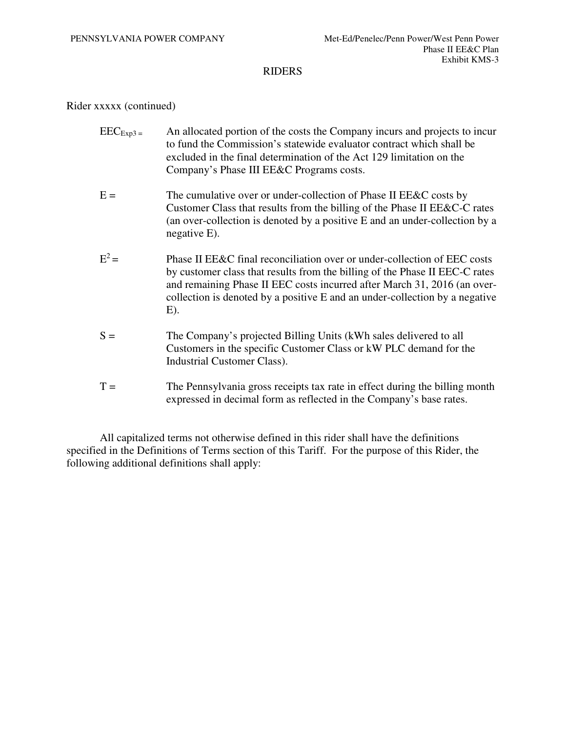### Rider xxxxx (continued)

- $\text{EEC}_{\text{Exp3}}$  = An allocated portion of the costs the Company incurs and projects to incur to fund the Commission's statewide evaluator contract which shall be excluded in the final determination of the Act 129 limitation on the Company's Phase III EE&C Programs costs.
- $E =$  The cumulative over or under-collection of Phase II EE&C costs by Customer Class that results from the billing of the Phase II EE&C-C rates (an over-collection is denoted by a positive E and an under-collection by a negative E).
- $E^2 =$ Phase II EE&C final reconciliation over or under-collection of EEC costs by customer class that results from the billing of the Phase II EEC-C rates and remaining Phase II EEC costs incurred after March 31, 2016 (an overcollection is denoted by a positive E and an under-collection by a negative E).
- S = The Company's projected Billing Units (kWh sales delivered to all Customers in the specific Customer Class or kW PLC demand for the Industrial Customer Class).
- $T =$  The Pennsylvania gross receipts tax rate in effect during the billing month expressed in decimal form as reflected in the Company's base rates.

All capitalized terms not otherwise defined in this rider shall have the definitions specified in the Definitions of Terms section of this Tariff. For the purpose of this Rider, the following additional definitions shall apply: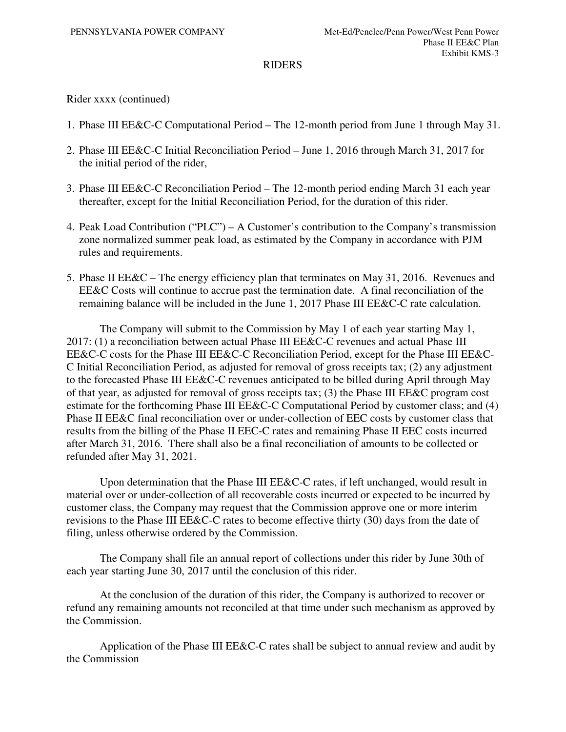Rider xxxx (continued)

- 1. Phase III EE&C-C Computational Period The 12-month period from June 1 through May 31.
- 2. Phase III EE&C-C Initial Reconciliation Period June 1, 2016 through March 31, 2017 for the initial period of the rider,
- 3. Phase III EE&C-C Reconciliation Period The 12-month period ending March 31 each year thereafter, except for the Initial Reconciliation Period, for the duration of this rider.
- 4. Peak Load Contribution ("PLC") A Customer's contribution to the Company's transmission zone normalized summer peak load, as estimated by the Company in accordance with PJM rules and requirements.
- 5. Phase II EE&C The energy efficiency plan that terminates on May 31, 2016. Revenues and EE&C Costs will continue to accrue past the termination date. A final reconciliation of the remaining balance will be included in the June 1, 2017 Phase III EE&C-C rate calculation.

The Company will submit to the Commission by May 1 of each year starting May 1, 2017: (1) a reconciliation between actual Phase III EE&C-C revenues and actual Phase III EE&C-C costs for the Phase III EE&C-C Reconciliation Period, except for the Phase III EE&C-C Initial Reconciliation Period, as adjusted for removal of gross receipts tax; (2) any adjustment to the forecasted Phase III EE&C-C revenues anticipated to be billed during April through May of that year, as adjusted for removal of gross receipts tax; (3) the Phase III EE&C program cost estimate for the forthcoming Phase III EE&C-C Computational Period by customer class; and (4) Phase II EE&C final reconciliation over or under-collection of EEC costs by customer class that results from the billing of the Phase II EEC-C rates and remaining Phase II EEC costs incurred after March 31, 2016. There shall also be a final reconciliation of amounts to be collected or refunded after May 31, 2021.

Upon determination that the Phase III EE&C-C rates, if left unchanged, would result in material over or under-collection of all recoverable costs incurred or expected to be incurred by customer class, the Company may request that the Commission approve one or more interim revisions to the Phase III EE&C-C rates to become effective thirty (30) days from the date of filing, unless otherwise ordered by the Commission.

The Company shall file an annual report of collections under this rider by June 30th of each year starting June 30, 2017 until the conclusion of this rider.

At the conclusion of the duration of this rider, the Company is authorized to recover or refund any remaining amounts not reconciled at that time under such mechanism as approved by the Commission.

Application of the Phase III EE&C-C rates shall be subject to annual review and audit by the Commission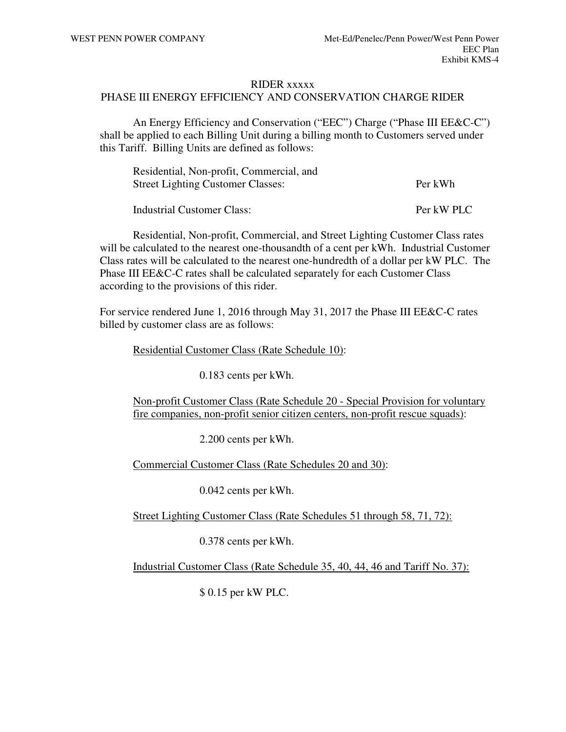#### RIDER xxxxx

### PHASE III ENERGY EFFICIENCY AND CONSERVATION CHARGE RIDER

An Energy Efficiency and Conservation ("EEC") Charge ("Phase III EE&C-C") shall be applied to each Billing Unit during a billing month to Customers served under this Tariff. Billing Units are defined as follows:

| Residential, Non-profit, Commercial, and |            |
|------------------------------------------|------------|
| <b>Street Lighting Customer Classes:</b> | Per kWh    |
| Industrial Customer Class:               | Per kW PLC |

Residential, Non-profit, Commercial, and Street Lighting Customer Class rates will be calculated to the nearest one-thousandth of a cent per kWh. Industrial Customer Class rates will be calculated to the nearest one-hundredth of a dollar per kW PLC. The Phase III EE&C-C rates shall be calculated separately for each Customer Class according to the provisions of this rider.

For service rendered June 1, 2016 through May 31, 2017 the Phase III EE&C-C rates billed by customer class are as follows:

Residential Customer Class (Rate Schedule 10):

0.183 cents per kWh.

Non-profit Customer Class (Rate Schedule 20 - Special Provision for voluntary fire companies, non-profit senior citizen centers, non-profit rescue squads):

2.200 cents per kWh.

Commercial Customer Class (Rate Schedules 20 and 30):

0.042 cents per kWh.

Street Lighting Customer Class (Rate Schedules 51 through 58, 71, 72):

0.378 cents per kWh.

Industrial Customer Class (Rate Schedule 35, 40, 44, 46 and Tariff No. 37):

\$ 0.15 per kW PLC.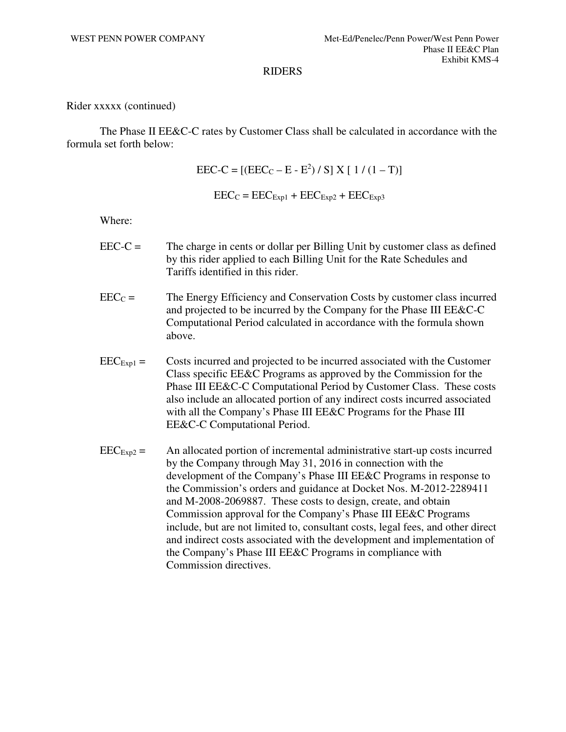Rider xxxxx (continued)

The Phase II EE&C-C rates by Customer Class shall be calculated in accordance with the formula set forth below:

 $\text{EEC-C} = \left[ (\text{EEC}_{\text{C}} - \text{E} - \text{E}^2) / S \right] X \left[ 1 / (1 - T) \right]$ 

 $\text{EEC}_C = \text{EEC}_{\text{Exp1}} + \text{EEC}_{\text{Exp2}} + \text{EEC}_{\text{Exp3}}$ 

Where:

- EEC-C = The charge in cents or dollar per Billing Unit by customer class as defined by this rider applied to each Billing Unit for the Rate Schedules and Tariffs identified in this rider.
- $\text{EEC}_C =$  The Energy Efficiency and Conservation Costs by customer class incurred and projected to be incurred by the Company for the Phase III EE&C-C Computational Period calculated in accordance with the formula shown above.
- $\text{EEC}_{\text{Exp1}} =$  Costs incurred and projected to be incurred associated with the Customer Class specific EE&C Programs as approved by the Commission for the Phase III EE&C-C Computational Period by Customer Class. These costs also include an allocated portion of any indirect costs incurred associated with all the Company's Phase III EE&C Programs for the Phase III EE&C-C Computational Period.
- $\text{EEC}_{\text{Exp2}} =$  An allocated portion of incremental administrative start-up costs incurred by the Company through May 31, 2016 in connection with the development of the Company's Phase III EE&C Programs in response to the Commission's orders and guidance at Docket Nos. M-2012-2289411 and M-2008-2069887. These costs to design, create, and obtain Commission approval for the Company's Phase III EE&C Programs include, but are not limited to, consultant costs, legal fees, and other direct and indirect costs associated with the development and implementation of the Company's Phase III EE&C Programs in compliance with Commission directives.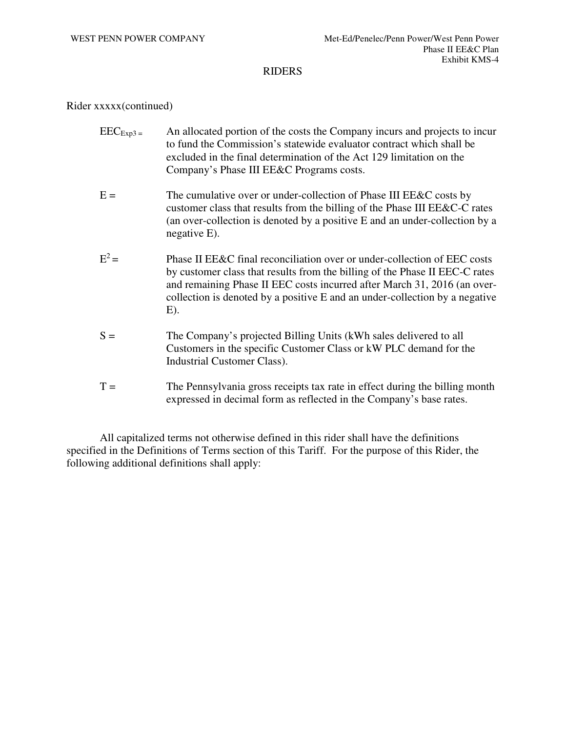### Rider xxxxx(continued)

- $\text{EEC}_{\text{Exp3}}$  = An allocated portion of the costs the Company incurs and projects to incur to fund the Commission's statewide evaluator contract which shall be excluded in the final determination of the Act 129 limitation on the Company's Phase III EE&C Programs costs.
- $E =$  The cumulative over or under-collection of Phase III EE&C costs by customer class that results from the billing of the Phase III EE&C-C rates (an over-collection is denoted by a positive E and an under-collection by a negative E).
- $E^2 =$ Phase II EE&C final reconciliation over or under-collection of EEC costs by customer class that results from the billing of the Phase II EEC-C rates and remaining Phase II EEC costs incurred after March 31, 2016 (an overcollection is denoted by a positive E and an under-collection by a negative E).
- S = The Company's projected Billing Units (kWh sales delivered to all Customers in the specific Customer Class or kW PLC demand for the Industrial Customer Class).
- $T =$  The Pennsylvania gross receipts tax rate in effect during the billing month expressed in decimal form as reflected in the Company's base rates.

All capitalized terms not otherwise defined in this rider shall have the definitions specified in the Definitions of Terms section of this Tariff. For the purpose of this Rider, the following additional definitions shall apply: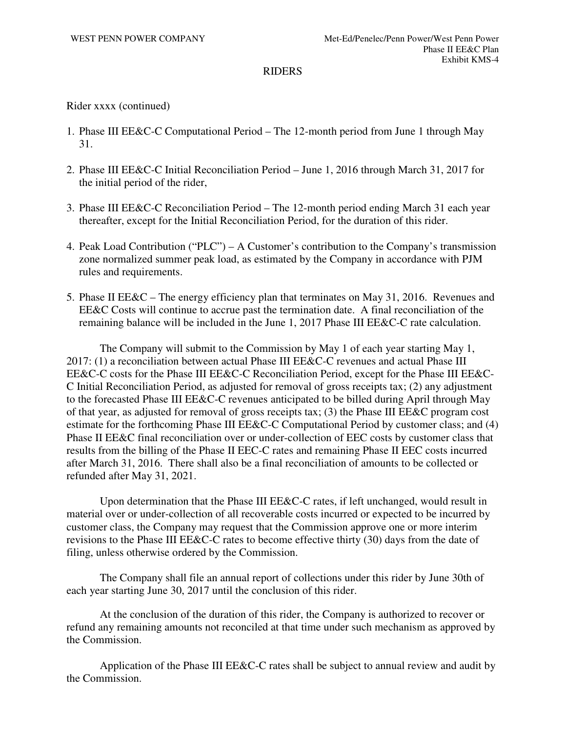## Rider xxxx (continued)

- 1. Phase III EE&C-C Computational Period The 12-month period from June 1 through May 31.
- 2. Phase III EE&C-C Initial Reconciliation Period June 1, 2016 through March 31, 2017 for the initial period of the rider,
- 3. Phase III EE&C-C Reconciliation Period The 12-month period ending March 31 each year thereafter, except for the Initial Reconciliation Period, for the duration of this rider.
- 4. Peak Load Contribution ("PLC") A Customer's contribution to the Company's transmission zone normalized summer peak load, as estimated by the Company in accordance with PJM rules and requirements.
- 5. Phase II EE&C The energy efficiency plan that terminates on May 31, 2016. Revenues and EE&C Costs will continue to accrue past the termination date. A final reconciliation of the remaining balance will be included in the June 1, 2017 Phase III EE&C-C rate calculation.

The Company will submit to the Commission by May 1 of each year starting May 1, 2017: (1) a reconciliation between actual Phase III EE&C-C revenues and actual Phase III EE&C-C costs for the Phase III EE&C-C Reconciliation Period, except for the Phase III EE&C-C Initial Reconciliation Period, as adjusted for removal of gross receipts tax; (2) any adjustment to the forecasted Phase III EE&C-C revenues anticipated to be billed during April through May of that year, as adjusted for removal of gross receipts tax; (3) the Phase III EE&C program cost estimate for the forthcoming Phase III EE&C-C Computational Period by customer class; and (4) Phase II EE&C final reconciliation over or under-collection of EEC costs by customer class that results from the billing of the Phase II EEC-C rates and remaining Phase II EEC costs incurred after March 31, 2016. There shall also be a final reconciliation of amounts to be collected or refunded after May 31, 2021.

Upon determination that the Phase III EE&C-C rates, if left unchanged, would result in material over or under-collection of all recoverable costs incurred or expected to be incurred by customer class, the Company may request that the Commission approve one or more interim revisions to the Phase III EE&C-C rates to become effective thirty (30) days from the date of filing, unless otherwise ordered by the Commission.

The Company shall file an annual report of collections under this rider by June 30th of each year starting June 30, 2017 until the conclusion of this rider.

At the conclusion of the duration of this rider, the Company is authorized to recover or refund any remaining amounts not reconciled at that time under such mechanism as approved by the Commission.

Application of the Phase III EE&C-C rates shall be subject to annual review and audit by the Commission.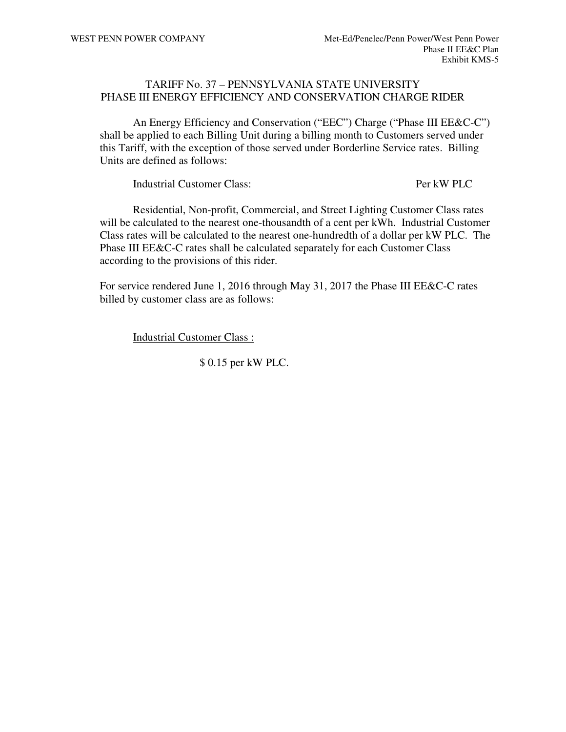## TARIFF No. 37 – PENNSYLVANIA STATE UNIVERSITY PHASE III ENERGY EFFICIENCY AND CONSERVATION CHARGE RIDER

An Energy Efficiency and Conservation ("EEC") Charge ("Phase III EE&C-C") shall be applied to each Billing Unit during a billing month to Customers served under this Tariff, with the exception of those served under Borderline Service rates. Billing Units are defined as follows:

Industrial Customer Class: Per kW PLC

Residential, Non-profit, Commercial, and Street Lighting Customer Class rates will be calculated to the nearest one-thousandth of a cent per kWh. Industrial Customer Class rates will be calculated to the nearest one-hundredth of a dollar per kW PLC. The Phase III EE&C-C rates shall be calculated separately for each Customer Class according to the provisions of this rider.

For service rendered June 1, 2016 through May 31, 2017 the Phase III EE&C-C rates billed by customer class are as follows:

Industrial Customer Class :

\$ 0.15 per kW PLC.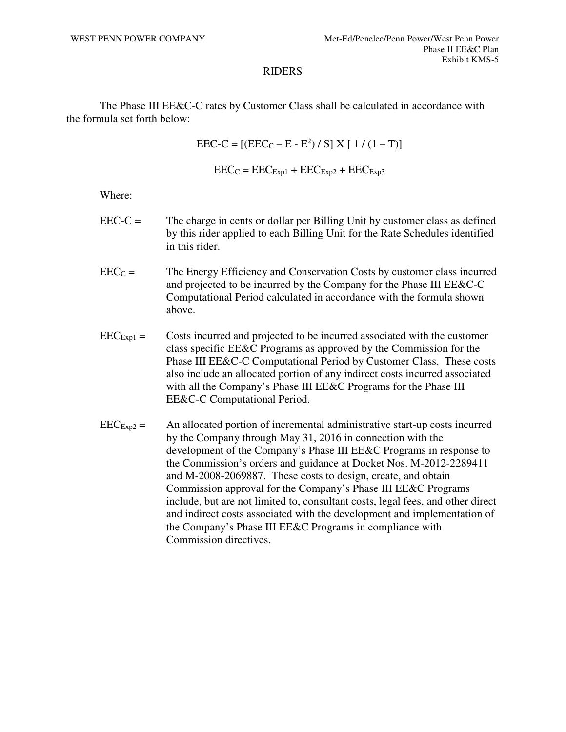The Phase III EE&C-C rates by Customer Class shall be calculated in accordance with the formula set forth below:

> $\text{EEC-C} = \left[ (\text{EEC}_{\text{C}} - \text{E} - \text{E}^2) / S \right] X \left[ 1 / (1 - T) \right]$  $\text{EEC}_C = \text{EEC}_{\text{Exp1}} + \text{EEC}_{\text{Exp2}} + \text{EEC}_{\text{Exp3}}$

Where:

- $\text{EEC-C} =$  The charge in cents or dollar per Billing Unit by customer class as defined by this rider applied to each Billing Unit for the Rate Schedules identified in this rider.
- $\text{EEC}_\text{C} =$  The Energy Efficiency and Conservation Costs by customer class incurred and projected to be incurred by the Company for the Phase III EE&C-C Computational Period calculated in accordance with the formula shown above.
- $\text{EEC}_{\text{Exp1}} =$  Costs incurred and projected to be incurred associated with the customer class specific EE&C Programs as approved by the Commission for the Phase III EE&C-C Computational Period by Customer Class. These costs also include an allocated portion of any indirect costs incurred associated with all the Company's Phase III EE&C Programs for the Phase III EE&C-C Computational Period.
- $\text{EEC}_{\text{Exp2}} =$  An allocated portion of incremental administrative start-up costs incurred by the Company through May 31, 2016 in connection with the development of the Company's Phase III EE&C Programs in response to the Commission's orders and guidance at Docket Nos. M-2012-2289411 and M-2008-2069887. These costs to design, create, and obtain Commission approval for the Company's Phase III EE&C Programs include, but are not limited to, consultant costs, legal fees, and other direct and indirect costs associated with the development and implementation of the Company's Phase III EE&C Programs in compliance with Commission directives.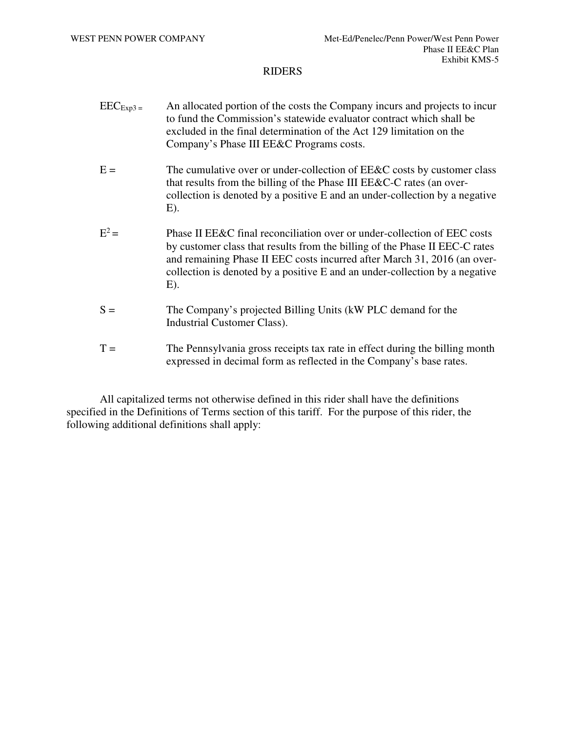- $\text{EEC}_{\text{Exp3}}$  = An allocated portion of the costs the Company incurs and projects to incur to fund the Commission's statewide evaluator contract which shall be excluded in the final determination of the Act 129 limitation on the Company's Phase III EE&C Programs costs.
- $E =$  The cumulative over or under-collection of EE&C costs by customer class that results from the billing of the Phase III EE&C-C rates (an overcollection is denoted by a positive E and an under-collection by a negative  $E$ ).
- $E^2 =$ Phase II EE&C final reconciliation over or under-collection of EEC costs by customer class that results from the billing of the Phase II EEC-C rates and remaining Phase II EEC costs incurred after March 31, 2016 (an overcollection is denoted by a positive E and an under-collection by a negative E).
- S = The Company's projected Billing Units (kW PLC demand for the Industrial Customer Class).
- $T =$  The Pennsylvania gross receipts tax rate in effect during the billing month expressed in decimal form as reflected in the Company's base rates.

All capitalized terms not otherwise defined in this rider shall have the definitions specified in the Definitions of Terms section of this tariff. For the purpose of this rider, the following additional definitions shall apply: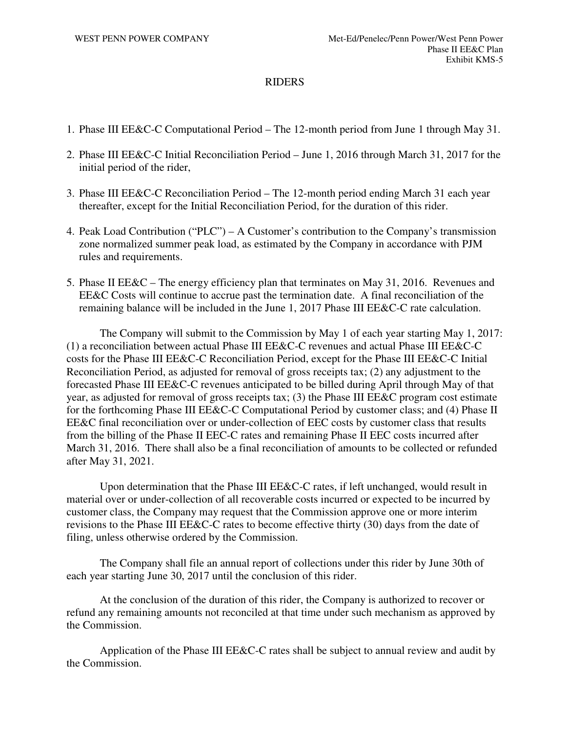- 1. Phase III EE&C-C Computational Period The 12-month period from June 1 through May 31.
- 2. Phase III EE&C-C Initial Reconciliation Period June 1, 2016 through March 31, 2017 for the initial period of the rider,
- 3. Phase III EE&C-C Reconciliation Period The 12-month period ending March 31 each year thereafter, except for the Initial Reconciliation Period, for the duration of this rider.
- 4. Peak Load Contribution ("PLC") A Customer's contribution to the Company's transmission zone normalized summer peak load, as estimated by the Company in accordance with PJM rules and requirements.
- 5. Phase II EE&C The energy efficiency plan that terminates on May 31, 2016. Revenues and EE&C Costs will continue to accrue past the termination date. A final reconciliation of the remaining balance will be included in the June 1, 2017 Phase III EE&C-C rate calculation.

The Company will submit to the Commission by May 1 of each year starting May 1, 2017: (1) a reconciliation between actual Phase III EE&C-C revenues and actual Phase III EE&C-C costs for the Phase III EE&C-C Reconciliation Period, except for the Phase III EE&C-C Initial Reconciliation Period, as adjusted for removal of gross receipts tax; (2) any adjustment to the forecasted Phase III EE&C-C revenues anticipated to be billed during April through May of that year, as adjusted for removal of gross receipts tax; (3) the Phase III EE&C program cost estimate for the forthcoming Phase III EE&C-C Computational Period by customer class; and (4) Phase II EE&C final reconciliation over or under-collection of EEC costs by customer class that results from the billing of the Phase II EEC-C rates and remaining Phase II EEC costs incurred after March 31, 2016. There shall also be a final reconciliation of amounts to be collected or refunded after May 31, 2021.

Upon determination that the Phase III EE&C-C rates, if left unchanged, would result in material over or under-collection of all recoverable costs incurred or expected to be incurred by customer class, the Company may request that the Commission approve one or more interim revisions to the Phase III EE&C-C rates to become effective thirty (30) days from the date of filing, unless otherwise ordered by the Commission.

The Company shall file an annual report of collections under this rider by June 30th of each year starting June 30, 2017 until the conclusion of this rider.

At the conclusion of the duration of this rider, the Company is authorized to recover or refund any remaining amounts not reconciled at that time under such mechanism as approved by the Commission.

Application of the Phase III EE&C-C rates shall be subject to annual review and audit by the Commission.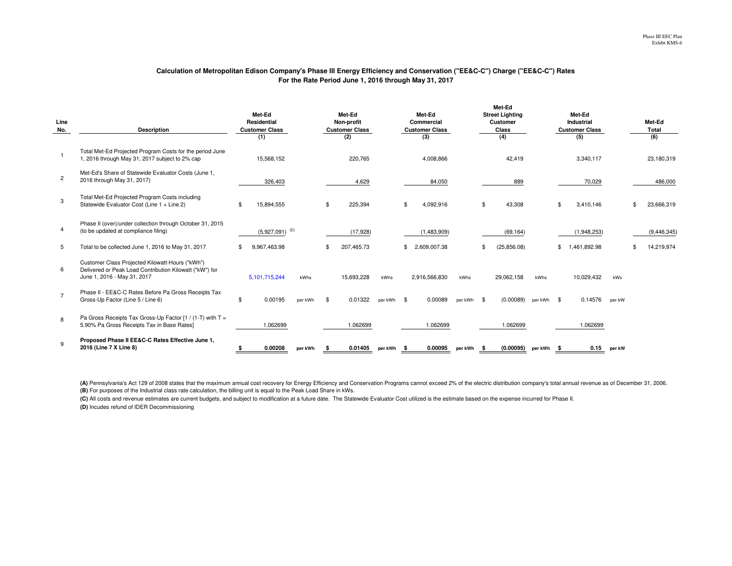#### **Calculation of Metropolitan Edison Company's Phase III Energy Efficiency and Conservation ("EE&C-C") Charge ("EE&C-C") RatesFor the Rate Period June 1, 2016 through May 31, 2017**

| Line<br>No.    | <b>Description</b>                                                                                                                        | Met-Ed<br>Residential<br><b>Customer Class</b><br>(1) |                              |         |                | Met-Ed<br>Non-profit<br><b>Customer Class</b><br>(2) |         |      | Met-Ed<br>Commercial<br><b>Customer Class</b><br>(3) |            |      | Met-Ed<br><b>Street Lighting</b><br><b>Customer</b><br>Class<br>(4) |            |    | Met-Ed<br>Industrial<br><b>Customer Class</b><br>(5) |        | Met-Ed<br><b>Total</b><br>(6) |
|----------------|-------------------------------------------------------------------------------------------------------------------------------------------|-------------------------------------------------------|------------------------------|---------|----------------|------------------------------------------------------|---------|------|------------------------------------------------------|------------|------|---------------------------------------------------------------------|------------|----|------------------------------------------------------|--------|-------------------------------|
|                | Total Met-Ed Projected Program Costs for the period June<br>1, 2016 through May 31, 2017 subject to 2% cap                                |                                                       | 15.568.152                   |         |                | 220.765                                              |         |      | 4,008,866                                            |            |      | 42.419                                                              |            |    | 3.340.117                                            |        | 23,180,319                    |
| $\overline{2}$ | Met-Ed's Share of Statewide Evaluator Costs (June 1,<br>2016 through May 31, 2017)                                                        |                                                       | 326,403                      |         |                | 4,629                                                |         |      | 84,050                                               |            |      | 889                                                                 |            |    | 70,029                                               |        | 486,000                       |
| 3              | Total Met-Ed Projected Program Costs including<br>Statewide Evaluator Cost (Line 1 + Line 2)                                              | \$                                                    | 15.894.555                   |         | ድ              | 225.394                                              |         | \$   | 4.092.916                                            |            | \$   | 43.308                                                              |            | \$ | 3.410.146                                            |        | 23,666,319                    |
| 4              | Phase II (over)/under collection through October 31, 2015<br>(to be updated at compliance filing)                                         |                                                       | $(5,927,091)$ <sup>(D)</sup> |         |                | (17, 928)                                            |         |      | (1,483,909)                                          |            |      | (69, 164)                                                           |            |    | (1,948,253)                                          |        | (9, 446, 345)                 |
| 5              | Total to be collected June 1, 2016 to May 31, 2017                                                                                        | \$                                                    | 9.967.463.98                 |         |                | 207,465.73                                           |         | \$   | 2.609.007.38                                         |            |      | (25, 856.08)                                                        |            | \$ | .461.892.98                                          |        | 14,219,974                    |
| 6              | Customer Class Projected Kilowatt-Hours ("kWh")<br>Delivered or Peak Load Contribution Kilowatt ("kW") for<br>June 1, 2016 - May 31, 2017 |                                                       | 5.101.715.244                | kWhs    |                | 15,693,228                                           | kWhs    |      | 2,916,566,830                                        | kWhs       |      | 29.062.158                                                          | kWhs       |    | 10,029,432                                           | kWs    |                               |
| $\overline{7}$ | Phase II - EE&C-C Rates Before Pa Gross Receipts Tax<br>Gross-Up Factor (Line 5 / Line 6)                                                 | \$                                                    | 0.00195                      | per kWh | $\mathfrak{L}$ | 0.01322                                              | ner kWh | \$   | 0.00089                                              | per kWh \$ |      | (0.00089)                                                           | per kWh \$ |    | 0.14576                                              | per kW |                               |
| 8              | Pa Gross Receipts Tax Gross-Up Factor [1 / (1-T) with $T =$<br>5.90% Pa Gross Receipts Tax in Base Rates]                                 |                                                       | 1.062699                     |         |                | 1.062699                                             |         |      | 1.062699                                             |            |      | 1.062699                                                            |            |    | 1.062699                                             |        |                               |
| 9              | Proposed Phase II EE&C-C Rates Effective June 1,<br>2016 (Line 7 X Line 8)                                                                |                                                       | 0.00208                      | per kWh |                | 0.01405                                              | per kWh | - \$ | 0.00095                                              | per kWh    | - \$ | (0.00095)                                                           | perkWh \$  |    | 0.15                                                 | per kW |                               |

**(B)** For purposes of the Industrial class rate calculation, the billing unit is equal to the Peak Load Share in kWs. (A) Pennsylvania's Act 129 of 2008 states that the maximum annual cost recovery for Energy Efficiency and Conservation Programs cannot exceed 2% of the electric distribution company's total annual revenue as of December 31

**(C)** All costs and revenue estimates are current budgets, and subject to modification at a future date. The Statewide Evaluator Cost utilized is the estimate based on the expense incurred for Phase II.

**(D)** Incudes refund of IDER Decommissioning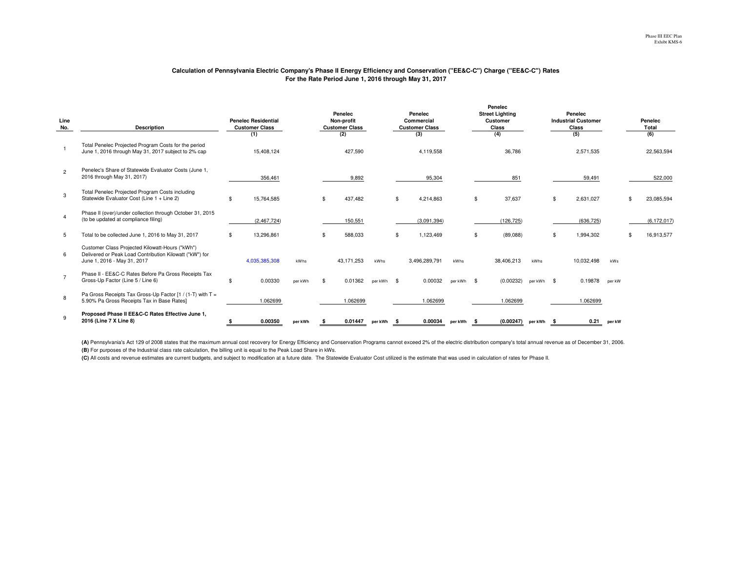#### **Calculation of Pennsylvania Electric Company's Phase II Energy Efficiency and Conservation ("EE&C-C") Charge ("EE&C-C") RatesFor the Rate Period June 1, 2016 through May 31, 2017**

**Penelec** 

| Line<br>No.    | <b>Description</b>                                                                                                                        | <b>Penelec Residential</b><br><b>Customer Class</b><br>(1) |               |         | Penelec<br>Non-profit<br><b>Customer Class</b><br>(2) |            |         |      | Penelec<br>Commercial<br><b>Customer Class</b><br>(3) |            |      | <b>Street Lighting</b><br><b>Customer</b><br>Class<br>(4) |           |      | Penelec<br><b>Industrial Customer</b><br>Class<br>(5) |        | Penelec<br>Total<br>(6) |
|----------------|-------------------------------------------------------------------------------------------------------------------------------------------|------------------------------------------------------------|---------------|---------|-------------------------------------------------------|------------|---------|------|-------------------------------------------------------|------------|------|-----------------------------------------------------------|-----------|------|-------------------------------------------------------|--------|-------------------------|
|                | Total Penelec Projected Program Costs for the period<br>June 1, 2016 through May 31, 2017 subject to 2% cap                               |                                                            | 15,408,124    |         |                                                       | 427,590    |         |      | 4,119,558                                             |            |      | 36,786                                                    |           |      | 2,571,535                                             |        | 22,563,594              |
| $\overline{c}$ | Penelec's Share of Statewide Evaluator Costs (June 1,<br>2016 through May 31, 2017)                                                       |                                                            | 356,461       |         |                                                       | 9,892      |         |      | 95,304                                                |            |      | 851                                                       |           |      | 59,491                                                |        | 522,000                 |
| 3              | Total Penelec Projected Program Costs including<br>Statewide Evaluator Cost (Line 1 + Line 2)                                             |                                                            | 15,764,585    |         |                                                       | 437,482    |         | \$   | 4,214,863                                             |            | \$   | 37,637                                                    |           | \$   | 2,631,027                                             |        | 23,085,594              |
|                | Phase II (over)/under collection through October 31, 2015<br>(to be updated at compliance filing)                                         |                                                            | (2,467,724)   |         |                                                       | 150,551    |         |      | (3,091,394)                                           |            |      | (126, 725)                                                |           |      | (636, 725)                                            |        | (6, 172, 017)           |
| 5              | Total to be collected June 1, 2016 to May 31, 2017                                                                                        |                                                            | 13,296,861    |         |                                                       | 588,033    |         |      | 1,123,469                                             |            | -\$  | (89,088)                                                  |           |      | 1,994,302                                             |        | 16,913,577              |
| 6              | Customer Class Projected Kilowatt-Hours ("kWh")<br>Delivered or Peak Load Contribution Kilowatt ("kW") for<br>June 1, 2016 - May 31, 2017 |                                                            | 4,035,385,308 | kWhs    |                                                       | 43,171,253 | kWhs    |      | 3,496,289,791                                         | kWhs       |      | 38,406,213                                                | kWhs      |      | 10,032,498                                            | kWs    |                         |
|                | Phase II - EE&C-C Rates Before Pa Gross Receipts Tax<br>Gross-Up Factor (Line 5 / Line 6)                                                 |                                                            | 0.00330       | per kWh |                                                       | 0.01362    | ner kWh | - \$ | 0.00032                                               | per kWh \$ |      | (0.00232)                                                 | ner kWh   | - \$ | 0.19878                                               | per kW |                         |
| 8              | Pa Gross Receipts Tax Gross-Up Factor [1 / (1-T) with T =<br>5.90% Pa Gross Receipts Tax in Base Rates]                                   |                                                            | 1.062699      |         |                                                       | 1.062699   |         |      | 1.062699                                              |            |      | 1.062699                                                  |           |      | 1.062699                                              |        |                         |
|                | Proposed Phase II EE&C-C Rates Effective June 1,<br>2016 (Line 7 X Line 8)                                                                |                                                            | 0.00350       | per kWh |                                                       | 0.01447    | per kWh |      | 0.00034                                               | per kWh    | - \$ | (0.00247)                                                 | perkWh \$ |      | 0.21                                                  | per kW |                         |

**(B)** For purposes of the Industrial class rate calculation, the billing unit is equal to the Peak Load Share in kWs. (A) Pennsylvania's Act 129 of 2008 states that the maximum annual cost recovery for Energy Efficiency and Conservation Programs cannot exceed 2% of the electric distribution company's total annual revenue as of December 31

**(C)** All costs and revenue estimates are current budgets, and subject to modification at a future date. The Statewide Evaluator Cost utilized is the estimate that was used in calculation of rates for Phase II.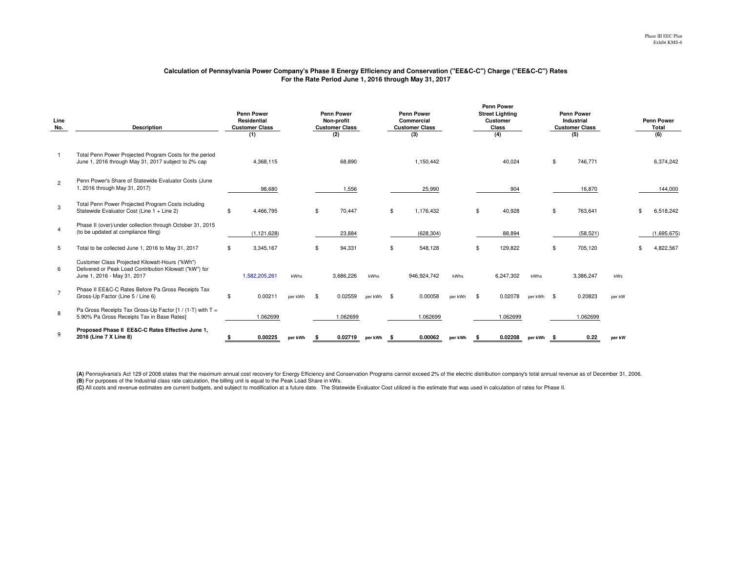#### **Calculation of Pennsylvania Power Company's Phase II Energy Efficiency and Conservation ("EE&C-C") Charge ("EE&C-C") RatesFor the Rate Period June 1, 2016 through May 31, 2017**

| Line<br>No.    | <b>Description</b>                                                                                                                        | <b>Penn Power</b><br>Residential<br><b>Customer Class</b><br>(1) | <b>Penn Power</b><br>Non-profit<br><b>Customer Class</b><br>(2) |          |           |            | <b>Penn Power</b><br>Commercial<br><b>Customer Class</b><br>(3) |         |    | <b>Penn Power</b><br><b>Street Lighting</b><br>Customer<br>Class<br>(4) |            | <b>Penn Power</b><br>Industrial<br><b>Customer Class</b><br>(5) |        | <b>Penn Power</b><br>Total<br>(6) |
|----------------|-------------------------------------------------------------------------------------------------------------------------------------------|------------------------------------------------------------------|-----------------------------------------------------------------|----------|-----------|------------|-----------------------------------------------------------------|---------|----|-------------------------------------------------------------------------|------------|-----------------------------------------------------------------|--------|-----------------------------------|
|                | Total Penn Power Projected Program Costs for the period<br>June 1, 2016 through May 31, 2017 subject to 2% cap                            | 4,368,115                                                        |                                                                 |          | 68,890    |            | 1,150,442                                                       |         |    | 40,024                                                                  |            | \$<br>746,771                                                   |        | 6,374,242                         |
| $\overline{2}$ | Penn Power's Share of Statewide Evaluator Costs (June<br>1, 2016 through May 31, 2017)                                                    | 98,680                                                           |                                                                 |          | 1,556     |            | 25,990                                                          |         |    | 904                                                                     |            | 16,870                                                          |        | 144,000                           |
| 3              | Total Penn Power Projected Program Costs including<br>Statewide Evaluator Cost (Line 1 + Line 2)                                          | \$<br>4,466,795                                                  |                                                                 | <b>β</b> | 70,447    |            | \$<br>1,176,432                                                 |         | \$ | 40,928                                                                  |            | \$<br>763,641                                                   |        | 6,518,242                         |
|                | Phase II (over)/under collection through October 31, 2015<br>(to be updated at compliance filing)                                         | (1, 121, 628)                                                    |                                                                 |          | 23,884    |            | (628, 304)                                                      |         |    | 88,894                                                                  |            | (58, 521)                                                       |        | (1,695,675)                       |
| 5              | Total to be collected June 1, 2016 to May 31, 2017                                                                                        | \$<br>3,345,167                                                  |                                                                 | -\$      | 94,331    |            | \$<br>548.128                                                   |         | \$ | 129.822                                                                 |            | 705,120                                                         |        | 4,822,567                         |
| 6              | Customer Class Projected Kilowatt-Hours ("kWh")<br>Delivered or Peak Load Contribution Kilowatt ("kW") for<br>June 1, 2016 - May 31, 2017 | 1,582,205,261                                                    | kWhs                                                            |          | 3.686.226 | kWhs       | 946.924.742                                                     | kWhs    |    | 6.247.302                                                               | kWhs       | 3,386,247                                                       | kWs    |                                   |
|                | Phase II EE&C-C Rates Before Pa Gross Receipts Tax<br>Gross-Up Factor (Line 5 / Line 6)                                                   | \$<br>0.00211                                                    | per kWh                                                         | - \$     | 0.02559   | per kWh \$ | 0.00058                                                         | per kWh | \$ | 0.02078                                                                 | per kWh \$ | 0.20823                                                         | per kW |                                   |
| 8              | Pa Gross Receipts Tax Gross-Up Factor [1 / (1-T) with T =<br>5.90% Pa Gross Receipts Tax in Base Rates]                                   | 1.062699                                                         |                                                                 |          | 1.062699  |            | 1.062699                                                        |         |    | 1.062699                                                                |            | 1.062699                                                        |        |                                   |
|                | Proposed Phase II EE&C-C Rates Effective June 1,<br>2016 (Line 7 X Line 8)                                                                | 0.00225                                                          | per kWh                                                         | - 36     | 0.02719   | perkWh \$  | 0.00062                                                         | per kWh | -S | 0.02208                                                                 | perkWh \$  | 0.22                                                            | per kW |                                   |

**(B)** For purposes of the Industrial class rate calculation, the billing unit is equal to the Peak Load Share in kWs. **(A)** Pennsylvania's Act 129 of 2008 states that the maximum annual cost recovery for Energy Efficiency and Conservation Programs cannot exceed 2% of the electric distribution company's total annual revenue as of December

**(C)** All costs and revenue estimates are current budgets, and subject to modification at a future date. The Statewide Evaluator Cost utilized is the estimate that was used in calculation of rates for Phase II.